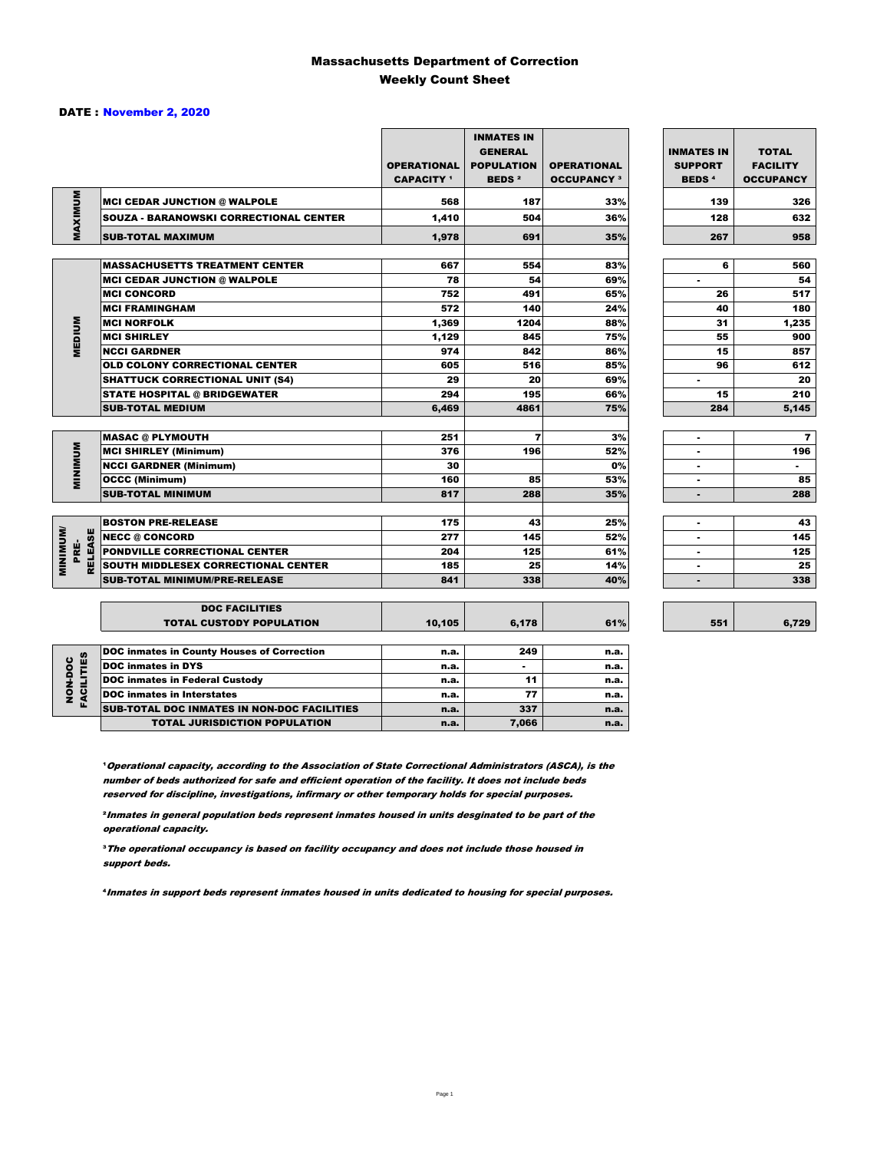#### Massachusetts Department of Correction Weekly Count Sheet

#### DATE : November 2, 2020

|                              |                                                    | <b>OPERATIONAL</b><br><b>CAPACITY</b> 1 | <b>INMATES IN</b><br><b>GENERAL</b><br><b>POPULATION</b><br><b>BEDS<sup>2</sup></b> | <b>OPERATIONAL</b><br><b>OCCUPANCY 3</b> | <b>INMATES IN</b><br><b>SUPPORT</b><br><b>BEDS<sup>4</sup></b> | <b>TOTAL</b><br><b>FACILITY</b><br><b>OCCUPANCY</b> |
|------------------------------|----------------------------------------------------|-----------------------------------------|-------------------------------------------------------------------------------------|------------------------------------------|----------------------------------------------------------------|-----------------------------------------------------|
| MAXIMUM                      | <b>MCI CEDAR JUNCTION @ WALPOLE</b>                | 568                                     | 187                                                                                 | 33%                                      | 139                                                            | 326                                                 |
|                              | SOUZA - BARANOWSKI CORRECTIONAL CENTER             | 1,410                                   | 504                                                                                 | 36%                                      | 128                                                            | 632                                                 |
|                              | <b>SUB-TOTAL MAXIMUM</b>                           | 1,978                                   | 691                                                                                 | 35%                                      | 267                                                            | 958                                                 |
|                              |                                                    |                                         |                                                                                     |                                          |                                                                |                                                     |
|                              | <b>MASSACHUSETTS TREATMENT CENTER</b>              | 667                                     | 554                                                                                 | 83%                                      | 6                                                              | 560                                                 |
|                              | <b>MCI CEDAR JUNCTION @ WALPOLE</b>                | 78                                      | 54                                                                                  | 69%                                      | ٠                                                              | 54                                                  |
|                              | <b>IMCI CONCORD</b>                                | 752                                     | 491                                                                                 | 65%                                      | 26                                                             | 517                                                 |
|                              | <b>MCI FRAMINGHAM</b>                              | 572                                     | 140                                                                                 | 24%                                      | 40                                                             | 180                                                 |
|                              | <b>MCI NORFOLK</b>                                 | 1,369                                   | 1204                                                                                | 88%                                      | 31                                                             | 1,235                                               |
| <b>MEDIUM</b>                | <b>MCI SHIRLEY</b>                                 | 1,129                                   | 845                                                                                 | 75%                                      | 55                                                             | 900                                                 |
|                              | <b>NCCI GARDNER</b>                                | 974                                     | 842                                                                                 | 86%                                      | 15                                                             | 857                                                 |
|                              | <b>OLD COLONY CORRECTIONAL CENTER</b>              | 605                                     | 516                                                                                 | 85%                                      | 96                                                             | 612                                                 |
|                              | <b>SHATTUCK CORRECTIONAL UNIT (S4)</b>             | 29                                      | 20                                                                                  | 69%                                      | ٠                                                              | 20                                                  |
|                              | <b>STATE HOSPITAL @ BRIDGEWATER</b>                | 294                                     | 195                                                                                 | 66%                                      | 15                                                             | 210                                                 |
|                              | <b>SUB-TOTAL MEDIUM</b>                            | 6,469                                   | 4861                                                                                | 75%                                      | 284                                                            | 5,145                                               |
|                              |                                                    |                                         |                                                                                     |                                          |                                                                |                                                     |
|                              | <b>MASAC @ PLYMOUTH</b>                            | 251                                     | $\overline{\mathbf{z}}$                                                             | 3%                                       | ٠                                                              | 7                                                   |
|                              | <b>MCI SHIRLEY (Minimum)</b>                       | 376                                     | 196                                                                                 | 52%                                      | ٠                                                              | 196                                                 |
|                              | <b>NCCI GARDNER (Minimum)</b>                      | 30                                      |                                                                                     | 0%                                       | $\overline{a}$                                                 | $\blacksquare$                                      |
| MINIMUM                      | <b>OCCC (Minimum)</b>                              | 160                                     | 85                                                                                  | 53%                                      | $\blacksquare$                                                 | 85                                                  |
|                              | <b>SUB-TOTAL MINIMUM</b>                           | 817                                     | 288                                                                                 | 35%                                      | $\blacksquare$                                                 | 288                                                 |
|                              |                                                    |                                         |                                                                                     |                                          |                                                                |                                                     |
|                              | <b>BOSTON PRE-RELEASE</b>                          | 175                                     | 43                                                                                  | 25%                                      | $\blacksquare$                                                 | 43                                                  |
|                              | <b>NECC @ CONCORD</b>                              | 277                                     | 145                                                                                 | 52%                                      | ٠                                                              | 145                                                 |
| <b>RELEASE</b><br>PRE-       | PONDVILLE CORRECTIONAL CENTER                      | 204                                     | 125                                                                                 | 61%                                      | ٠                                                              | 125                                                 |
| <b>MINIMINU</b>              | SOUTH MIDDLESEX CORRECTIONAL CENTER                | 185                                     | 25                                                                                  | 14%                                      | ٠                                                              | 25                                                  |
|                              | <b>SUB-TOTAL MINIMUM/PRE-RELEASE</b>               | 841                                     | 338                                                                                 | 40%                                      | ٠                                                              | 338                                                 |
|                              |                                                    |                                         |                                                                                     |                                          |                                                                |                                                     |
|                              | <b>DOC FACILITIES</b>                              |                                         |                                                                                     |                                          |                                                                |                                                     |
|                              | <b>TOTAL CUSTODY POPULATION</b>                    | 10,105                                  | 6,178                                                                               | 61%                                      | 551                                                            | 6,729                                               |
|                              |                                                    |                                         |                                                                                     |                                          |                                                                |                                                     |
|                              | <b>DOC inmates in County Houses of Correction</b>  | n.a.                                    | 249                                                                                 | n.a.                                     |                                                                |                                                     |
| <b>FACILITIES</b><br>NON-DOC | <b>DOC</b> inmates in DYS                          | n.a.                                    |                                                                                     | n.a.                                     |                                                                |                                                     |
|                              | <b>DOC inmates in Federal Custody</b>              | n.a.                                    | 11                                                                                  | n.a.                                     |                                                                |                                                     |
|                              | <b>DOC</b> inmates in Interstates                  | n.a.                                    | 77                                                                                  | n.a.                                     |                                                                |                                                     |
|                              | <b>SUB-TOTAL DOC INMATES IN NON-DOC FACILITIES</b> | n.a.                                    | 337                                                                                 | n.a.                                     |                                                                |                                                     |

**Operational capacity, according to the Association of State Correctional Administrators (ASCA), is the** number of beds authorized for safe and efficient operation of the facility. It does not include beds reserved for discipline, investigations, infirmary or other temporary holds for special purposes.

TOTAL JURISDICTION POPULATION **n.a.** 7,066 n.a.

6,729

²Inmates in general population beds represent inmates housed in units desginated to be part of the operational capacity.

³The operational occupancy is based on facility occupancy and does not include those housed in support beds.

⁴Inmates in support beds represent inmates housed in units dedicated to housing for special purposes.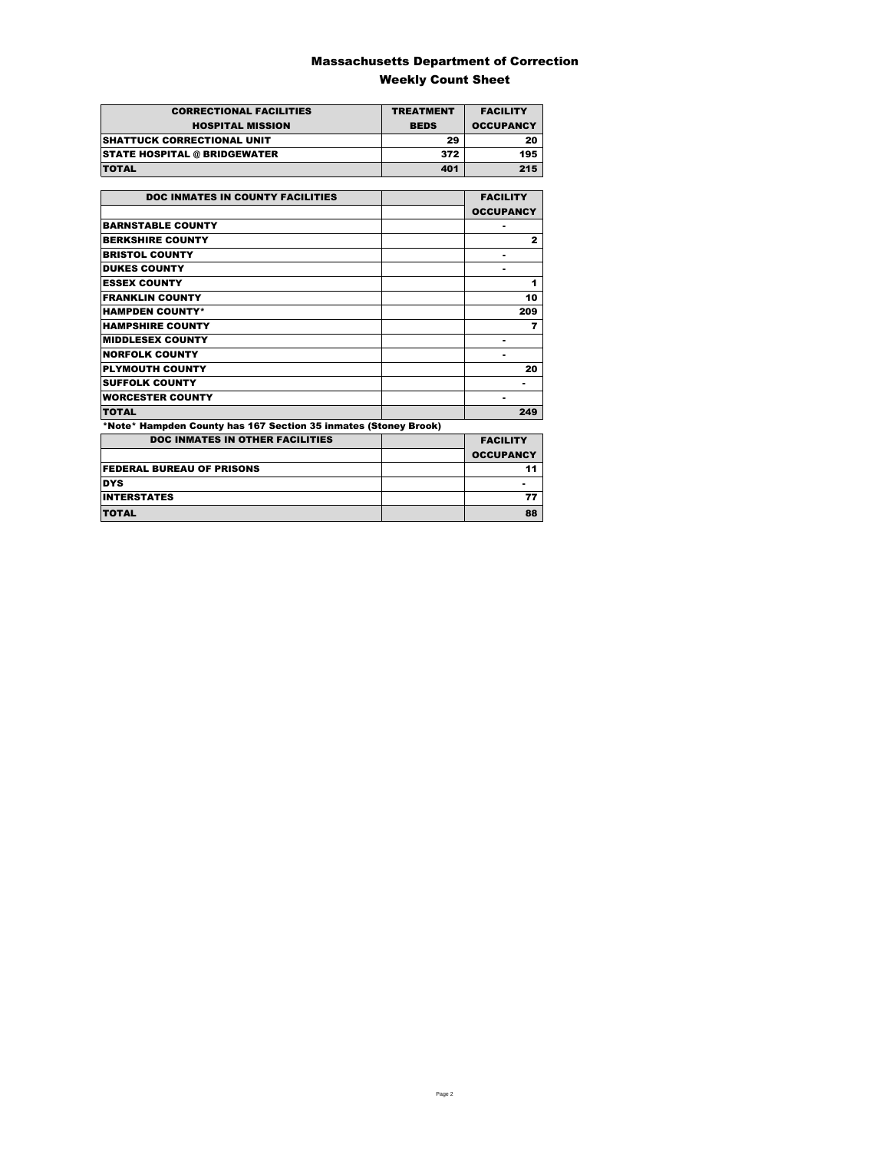### Massachusetts Department of Correction Weekly Count Sheet

| <b>CORRECTIONAL FACILITIES</b>      | <b>TREATMENT</b> | <b>FACILITY</b>  |
|-------------------------------------|------------------|------------------|
| <b>HOSPITAL MISSION</b>             | <b>BEDS</b>      | <b>OCCUPANCY</b> |
| <b>SHATTUCK CORRECTIONAL UNIT</b>   | 29               | 20               |
| <b>STATE HOSPITAL @ BRIDGEWATER</b> | 372              | 195              |
| <b>TOTAL</b>                        | 401              | 215              |

| <b>DOC INMATES IN COUNTY FACILITIES</b>                         | <b>FACILITY</b>  |
|-----------------------------------------------------------------|------------------|
|                                                                 | <b>OCCUPANCY</b> |
| <b>BARNSTABLE COUNTY</b>                                        |                  |
| <b>BERKSHIRE COUNTY</b>                                         | $\mathbf{2}$     |
| <b>BRISTOL COUNTY</b>                                           |                  |
| <b>DUKES COUNTY</b>                                             |                  |
| <b>ESSEX COUNTY</b>                                             | 1                |
| <b>FRANKLIN COUNTY</b>                                          | 10               |
| <b>HAMPDEN COUNTY*</b>                                          | 209              |
| <b>HAMPSHIRE COUNTY</b>                                         | 7                |
| <b>MIDDLESEX COUNTY</b>                                         |                  |
| <b>NORFOLK COUNTY</b>                                           | -                |
| <b>PLYMOUTH COUNTY</b>                                          | 20               |
| <b>SUFFOLK COUNTY</b>                                           |                  |
| <b>WORCESTER COUNTY</b>                                         |                  |
| <b>TOTAL</b>                                                    | 249              |
| *Note* Hampden County has 167 Section 35 inmates (Stoney Brook) |                  |
| <b>DOC INMATES IN OTHER FACILITIES</b>                          | <b>FACILITY</b>  |
|                                                                 | <b>OCCUPANCY</b> |
| <b>FEDERAL BUREAU OF PRISONS</b>                                | 11               |
| <b>DYS</b>                                                      |                  |
| <b>INTERSTATES</b>                                              | 77               |
| <b>TOTAL</b>                                                    | 88               |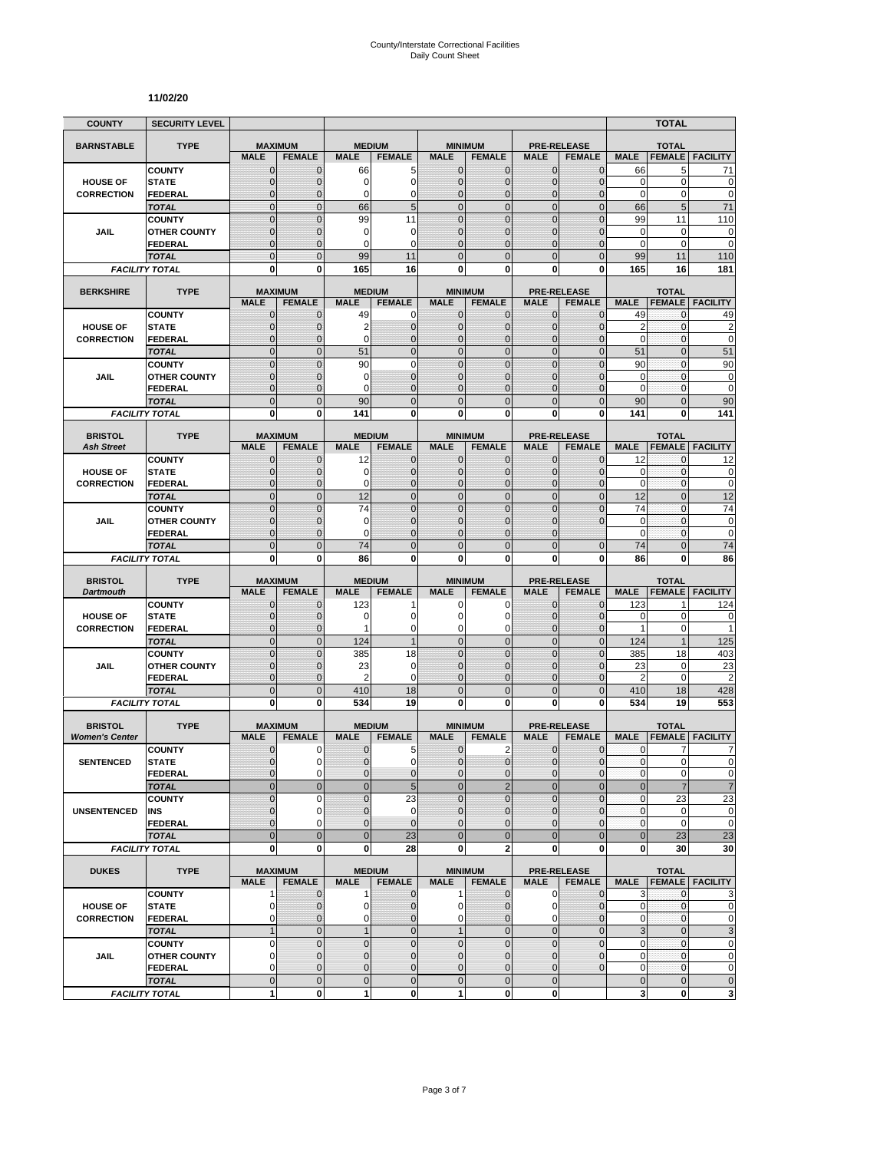#### **11/02/20**

| <b>TYPE</b><br><b>MAXIMUM</b><br><b>MEDIUM</b><br><b>MINIMUM</b><br><b>TOTAL</b><br><b>BARNSTABLE</b><br><b>PRE-RELEASE</b><br><b>FEMALE</b><br><b>MALE</b><br><b>FEMALE</b><br><b>MALE</b><br><b>FEMALE</b><br><b>MALE</b><br><b>FEMALE</b><br><b>MALE</b><br><b>FEMALE</b><br><b>FACILITY</b><br><b>MALE</b><br><b>COUNTY</b><br>$\mathbf 0$<br>$\mathbf{0}$<br>66<br>5<br>$\mathbf{0}$<br>0<br>$\mathbf{0}$<br>$\overline{0}$<br>66<br>5<br>71<br>$\mathbf 0$<br>0<br>$\overline{0}$<br>$\overline{0}$<br>$\overline{0}$<br>$\overline{0}$<br>$\mathbf 0$<br>$\mathbf 0$<br><b>STATE</b><br>$\mathbf 0$<br>0<br><b>HOUSE OF</b><br>$\mathbf 0$<br>$\mathbf 0$<br>0<br>$\mathbf 0$<br>0<br>0<br>$\mathbf 0$<br>$\mathbf 0$<br>0<br>$\mathbf 0$<br>0<br><b>CORRECTION</b><br><b>FEDERAL</b><br>$\mathbf 0$<br>5<br>$\overline{0}$<br>$\mathbf 0$<br>$\mathbf 0$<br>$\mathbf 0$<br>5<br>$\overline{0}$<br>66<br>$\mathbf{0}$<br>66<br>71<br><b>TOTAL</b><br>$\overline{0}$<br>$\Omega$<br>$\mathbf 0$<br>$\overline{0}$<br>110<br>$\overline{0}$<br>99<br>11<br>$\mathbf{0}$<br>99<br><b>COUNTY</b><br>11<br>$\mathbf{0}$<br>$\mathbf 0$<br>0<br>$\overline{0}$<br>$\overline{0}$<br>$\overline{0}$<br>$\mathbf 0$<br>$\mathbf 0$<br>$\mathbf 0$<br>$\mathbf 0$<br>$\Omega$<br>JAIL<br><b>OTHER COUNTY</b><br>$\Omega$<br>$\mathbf 0$<br>$\mathbf 0$<br>$\mathbf 0$<br>$\mathbf 0$<br>$\mathbf 0$<br>$\mathbf 0$<br>$\Omega$<br>$\overline{0}$<br>$\overline{0}$<br><b>FEDERAL</b><br>$\Omega$<br>$\overline{0}$<br>99<br>$\Omega$<br>$\overline{0}$<br>$\overline{0}$<br>99<br>110<br>$\Omega$<br>11<br>$\Omega$<br>11<br><b>TOTAL</b><br>0<br>$\bf{0}$<br>165<br>16<br>0<br>0<br>0<br>165<br>181<br>0<br>16<br><b>FACILITY TOTAL</b><br><b>BERKSHIRE</b><br><b>TYPE</b><br><b>MAXIMUM</b><br><b>MEDIUM</b><br><b>MINIMUM</b><br><b>PRE-RELEASE</b><br><b>TOTAL</b><br><b>MALE</b><br><b>FEMALE</b><br><b>MALE</b><br><b>FEMALE</b><br><b>MALE</b><br><b>FEMALE</b><br><b>MALE</b><br><b>FEMALE</b><br><b>MALE</b><br><b>FEMALE</b><br><b>FACILITY</b><br>49<br><b>COUNTY</b><br>49<br>0<br>49<br>$\mathbf 0$<br>$\mathbf 0$<br>0<br>$\mathbf{0}$<br>$\mathbf{0}$<br>$\mathbf{0}$<br>0<br>$\overline{c}$<br>$\mathbf{0}$<br>$\mathbf 0$<br>$\overline{0}$<br>$\overline{c}$<br>0<br><b>HOUSE OF</b><br><b>STATE</b><br>$\mathbf 0$<br>$\mathbf 0$<br>2<br>$\mathbf{0}$<br>$\mathbf{0}$<br>$\mathbf 0$<br>$\mathbf 0$<br>$\overline{0}$<br>0<br>$\mathbf{0}$<br>$\overline{0}$<br>$\overline{0}$<br>$\mathbf 0$<br>0<br>$\mathbf{0}$<br><b>CORRECTION</b><br><b>FEDERAL</b><br>$\mathbf 0$<br>$\overline{0}$<br>$\overline{0}$<br>51<br>$\mathbf 0$<br>$\mathbf 0$<br>$\overline{0}$<br>$\mathbf{0}$<br>$\overline{0}$<br>51<br>$\overline{0}$<br>51<br><b>TOTAL</b><br>90<br>$\mathbf 0$<br>$\mathbf 0$<br>$\overline{0}$<br>90<br>$\mathbf{0}$<br>90<br>$\overline{0}$<br>$\overline{0}$<br>$\mathbf{0}$<br>$\overline{0}$<br><b>COUNTY</b><br>$\mathbf{0}$<br>$\mathbf{0}$<br>$\mathbf{0}$<br>$\pmb{0}$<br><b>JAIL</b><br>$\mathbf 0$<br>0<br>$\mathbf{0}$<br>$\overline{0}$<br>$\Omega$<br>$\mathbf 0$<br>0<br><b>OTHER COUNTY</b><br>$\mathbf{0}$<br>$\mathbf 0$<br>$\mathbf 0$<br>0<br>$\mathbf{0}$<br>$\mathbf 0$<br>$\overline{0}$<br>$\mathbf 0$<br>$\mathbf 0$<br>$\mathbf{0}$<br>$\mathbf{0}$<br><b>FEDERAL</b><br>$\mathbf 0$<br>$\overline{0}$<br>$\mathbf 0$<br>$\overline{0}$<br>$\mathbf 0$<br>$\mathbf{0}$<br>$\mathbf 0$<br>$\overline{0}$<br>90<br>90<br>90<br><b>TOTAL</b><br>0<br>0<br>141<br>0<br>$\mathbf{0}$<br>0<br>$\bf{0}$<br>0<br>0<br>141<br><b>FACILITY TOTAL</b><br>141<br><b>BRISTOL</b><br><b>TYPE</b><br><b>PRE-RELEASE</b><br><b>MAXIMUM</b><br><b>MEDIUM</b><br><b>MINIMUM</b><br><b>TOTAL</b><br><b>MALE</b><br><b>MALE</b><br><b>FEMALE FACILITY</b><br><b>Ash Street</b><br><b>MALE</b><br><b>FEMALE</b><br><b>FEMALE</b><br><b>MALE</b><br><b>FEMALE</b><br><b>MALE</b><br><b>FEMALE</b><br><b>COUNTY</b><br>$\mathbf 0$<br>$\mathbf 0$<br>12<br>$\mathbf{0}$<br>$\mathbf{0}$<br>0<br>$\mathbf{0}$<br>0<br>12<br>0<br>12<br>$\overline{0}$<br>$\mathbf 0$<br>$\overline{0}$<br>0<br>$\pmb{0}$<br>$\mathbf 0$<br>0<br>$\mathbf{0}$<br>$\mathbf{0}$<br>0<br><b>HOUSE OF</b><br><b>STATE</b><br>$\Omega$<br>$\mathbf{0}$<br>$\Omega$<br>$\mathbf 0$<br>$\mathbf 0$<br>$\overline{0}$<br>$\mathbf 0$<br>$\mathbf 0$<br>$\mathbf{0}$<br>$\mathbf 0$<br>$\Omega$<br>$\mathbf{0}$<br><b>CORRECTION</b><br><b>FEDERAL</b><br>$\overline{0}$<br>$\mathbf 0$<br>$\overline{0}$<br>12<br>$\overline{0}$<br>$\Omega$<br>12<br>$\mathbf{0}$<br>$\overline{0}$<br>12<br>$\overline{0}$<br><b>TOTAL</b><br>$\overline{74}$<br>$\overline{0}$<br>74<br>$\overline{0}$<br>$\overline{0}$<br>$\overline{0}$<br>$\overline{0}$<br>74<br>$\overline{0}$<br>$\Omega$<br>$\Omega$<br><b>COUNTY</b><br>$\mathbf{0}$<br>$\mathbf 0$<br>$\mathbf 0$<br>$\mathbf 0$<br>$\mathbf{0}$<br>$\mathbf 0$<br>0<br>$\mathbf 0$<br>$\mathbf 0$<br>$\mathbf 0$<br>JAIL<br><b>OTHER COUNTY</b><br>$\mathbf 0$<br>$\mathbf 0$<br>$\overline{0}$<br>$\overline{0}$<br>$\mathbf 0$<br>0<br>$\mathbf 0$<br>$\Omega$<br>$\Omega$<br>0<br>$\Omega$<br><b>FEDERAL</b><br>$\overline{0}$<br>$\overline{0}$<br>$\mathbf{0}$<br>74<br>$\mathbf{0}$<br>$\mathbf{0}$<br>$\Omega$<br>$\overline{0}$<br>$\overline{0}$<br>74<br>74<br><b>TOTAL</b><br>0<br>$\mathbf 0$<br>0<br>$\mathbf{0}$<br>0<br>0<br>0<br>86<br><b>FACILITY TOTAL</b><br>86<br>0<br>86<br><b>TYPE</b><br><b>MAXIMUM</b><br><b>PRE-RELEASE</b><br><b>BRISTOL</b><br><b>MEDIUM</b><br><b>MINIMUM</b><br><b>TOTAL</b><br><b>FACILITY</b><br><b>MALE</b><br><b>FEMALE</b><br><b>MALE</b><br><b>FEMALE</b><br><b>FEMALE</b><br><b>FEMALE</b><br><b>MALE</b><br><b>FEMALE</b><br><b>Dartmouth</b><br><b>MALE</b><br><b>MALE</b><br>123<br>124<br><b>COUNTY</b><br>$\mathbf 0$<br>$\mathbf 0$<br>123<br>0<br>0<br>$\mathbf{0}$<br>$\overline{0}$<br>1<br>1<br>$\mathbf 0$<br>$\pmb{0}$<br>$\overline{0}$<br>0<br><b>HOUSE OF</b><br><b>STATE</b><br>$\Omega$<br>0<br>$\Omega$<br>$\Omega$<br>$\mathbf{0}$<br>0<br>0<br>$\overline{0}$<br>0<br>0<br>$\overline{0}$<br>$\mathbf{1}$<br>$\mathbf 0$<br>1<br>$\mathbf{0}$<br>$\mathbf 0$<br>$\mathbf{0}$<br><b>CORRECTION</b><br><b>FEDERAL</b><br>1<br>$\overline{0}$<br>$\mathbf 0$<br>$\mathbf 0$<br>125<br>$\mathbf{0}$<br>124<br>$\mathbf{1}$<br>$\mathbf{0}$<br>$\mathbf{0}$<br>124<br>$\mathbf{1}$<br><b>TOTAL</b><br>$\mathbf 0$<br>$\mathbf{0}$<br>$\mathbf 0$<br>$\mathbf{0}$<br>385<br>18<br>$\mathbf{0}$<br>$\mathbf 0$<br>385<br>403<br><b>COUNTY</b><br>18<br>23<br>$\overline{0}$<br>23<br>$\mathbf 0$<br>$\overline{0}$<br>$\overline{0}$<br>$\overline{0}$<br>23<br>0<br>$\mathbf 0$<br>$\Omega$<br>JAIL<br><b>OTHER COUNTY</b><br>$\mathbf 0$<br>$\mathbf 0$<br>$\mathbf 0$<br>$\mathbf 0$<br>$\overline{2}$<br>$\mathbf{0}$<br>2<br>0<br>$\mathbf{0}$<br>0<br>2<br><b>FEDERAL</b><br>$\mathbf 0$<br>$\mathbf 0$<br>428<br>$\overline{0}$<br>410<br>18<br>$\mathbf 0$<br>$\mathbf{0}$<br>$\mathbf 0$<br>410<br>18<br><b>TOTAL</b><br>O<br>0<br>$\bf{0}$<br>553<br>0<br>534<br>19<br>0<br>0<br>534<br>19<br><b>FACILITY TOTAL</b><br><b>BRISTOL</b><br><b>TYPE</b><br><b>MAXIMUM</b><br><b>MEDIUM</b><br><b>MINIMUM</b><br><b>PRE-RELEASE</b><br><b>TOTAL</b><br><b>MALE</b><br><b>FEMALE</b><br><b>MALE</b><br><b>FEMALE</b><br><b>MALE</b><br><b>FEMALE</b><br><b>MALE</b><br><b>FEMALE</b><br><b>MALE</b><br><b>FEMALE</b><br><b>FACILITY</b><br><b>Women's Center</b><br><b>COUNTY</b><br>$\mathbf{0}$<br>5<br>$\mathbf 0$<br>2<br>$\mathbf 0$<br>0<br>0<br>0<br>$\mathbf 0$<br>7<br>7<br>$\overline{0}$<br>$\overline{0}$<br>$\overline{0}$<br>$\overline{0}$<br>$\mathbf 0$<br>$\Omega$<br>$\mathbf 0$<br>$\mathbf 0$<br>$\mathbf 0$<br><b>STATE</b><br>0<br>$\mathbf{0}$<br><b>SENTENCED</b><br>$\pmb{0}$<br>$\mathbf 0$<br>$\pmb{0}$<br><b>FEDERAL</b><br>$\mathbf{0}$<br>0<br>0<br>$\mathbf 0$<br>0<br>$\mathbf 0$<br>0<br>0<br>$\overline{5}$<br>$\overline{7}$<br>$\overline{0}$<br>$\overline{0}$<br>$\overline{0}$<br>$\overline{2}$<br>$\overline{0}$<br>$\overline{0}$<br>$\mathbf{0}$<br>$\bf 0$<br><b>TOTAL</b><br>$\overline{7}$<br>$\overline{0}$<br>$\overline{0}$<br>$\Omega$<br>$\overline{0}$<br>$\overline{0}$<br>23<br>$\Omega$<br>23<br>$\Omega$<br>$\pmb{0}$<br>23<br><b>COUNTY</b><br>$\mathbf 0$<br>$\pmb{0}$<br>$\mathbf 0$<br>$\pmb{0}$<br>$\pmb{0}$<br>$\mathbf 0$<br>0<br>$\mathbf 0$<br>0<br>$\mathbf{0}$<br>0<br><b>UNSENTENCED</b><br>INS<br>$\mathbf 0$<br>$\overline{0}$<br>$\pmb{0}$<br>$\pmb{0}$<br>$\overline{0}$<br>$\mathbf{0}$<br>$\Omega$<br>$\overline{0}$<br>$\Omega$<br>$\overline{0}$<br>$\Omega$<br><b>FEDERAL</b><br>$\overline{0}$<br>$\overline{0}$<br>23<br>$\overline{0}$<br>$\overline{0}$<br>23<br>$\overline{0}$<br>$\overline{0}$<br>$\mathbf 0$<br>$\bf 0$<br>23<br><b>TOTAL</b><br>$\overline{\mathbf{2}}$<br>0<br>$\mathbf 0$<br>$\bf{0}$<br>$\mathbf 0$<br>0<br>0<br>30<br><b>FACILITY TOTAL</b><br>28<br>$\mathbf 0$<br>30<br><b>DUKES</b><br><b>TYPE</b><br><b>MAXIMUM</b><br><b>MEDIUM</b><br><b>PRE-RELEASE</b><br><b>MINIMUM</b><br><b>TOTAL</b><br><b>FEMALE</b><br><b>MALE</b><br><b>FEMALE</b><br><b>MALE</b><br><b>FEMALE</b><br><b>MALE</b><br><b>FEMALE</b><br><b>MALE</b><br><b>FEMALE   FACILITY</b><br><b>MALE</b><br>$\mathbf 0$<br>3<br><b>COUNTY</b><br>$\mathbf{0}$<br>$\mathbf{1}$<br>$\mathbf{0}$<br>$\mathbf 0$<br>3<br>$\mathbf{0}$<br>1<br>$\mathbf 0$<br>$\mathbf 1$<br>0<br>$\mathbf 0$<br>$\mathbf 0$<br>$\mathbf 0$<br>0<br><b>HOUSE OF</b><br><b>STATE</b><br>0<br>$\mathbf{0}$<br>0<br>0<br>0<br>0<br>$\mathbf 0$ |
|------------------------------------------------------------------------------------------------------------------------------------------------------------------------------------------------------------------------------------------------------------------------------------------------------------------------------------------------------------------------------------------------------------------------------------------------------------------------------------------------------------------------------------------------------------------------------------------------------------------------------------------------------------------------------------------------------------------------------------------------------------------------------------------------------------------------------------------------------------------------------------------------------------------------------------------------------------------------------------------------------------------------------------------------------------------------------------------------------------------------------------------------------------------------------------------------------------------------------------------------------------------------------------------------------------------------------------------------------------------------------------------------------------------------------------------------------------------------------------------------------------------------------------------------------------------------------------------------------------------------------------------------------------------------------------------------------------------------------------------------------------------------------------------------------------------------------------------------------------------------------------------------------------------------------------------------------------------------------------------------------------------------------------------------------------------------------------------------------------------------------------------------------------------------------------------------------------------------------------------------------------------------------------------------------------------------------------------------------------------------------------------------------------------------------------------------------------------------------------------------------------------------------------------------------------------------------------------------------------------------------------------------------------------------------------------------------------------------------------------------------------------------------------------------------------------------------------------------------------------------------------------------------------------------------------------------------------------------------------------------------------------------------------------------------------------------------------------------------------------------------------------------------------------------------------------------------------------------------------------------------------------------------------------------------------------------------------------------------------------------------------------------------------------------------------------------------------------------------------------------------------------------------------------------------------------------------------------------------------------------------------------------------------------------------------------------------------------------------------------------------------------------------------------------------------------------------------------------------------------------------------------------------------------------------------------------------------------------------------------------------------------------------------------------------------------------------------------------------------------------------------------------------------------------------------------------------------------------------------------------------------------------------------------------------------------------------------------------------------------------------------------------------------------------------------------------------------------------------------------------------------------------------------------------------------------------------------------------------------------------------------------------------------------------------------------------------------------------------------------------------------------------------------------------------------------------------------------------------------------------------------------------------------------------------------------------------------------------------------------------------------------------------------------------------------------------------------------------------------------------------------------------------------------------------------------------------------------------------------------------------------------------------------------------------------------------------------------------------------------------------------------------------------------------------------------------------------------------------------------------------------------------------------------------------------------------------------------------------------------------------------------------------------------------------------------------------------------------------------------------------------------------------------------------------------------------------------------------------------------------------------------------------------------------------------------------------------------------------------------------------------------------------------------------------------------------------------------------------------------------------------------------------------------------------------------------------------------------------------------------------------------------------------------------------------------------------------------------------------------------------------------------------------------------------------------------------------------------------------------------------------------------------------------------------------------------------------------------------------------------------------------------------------------------------------------------------------------------------------------------------------------------------------------------------------------------------------------------------------------------------------------------------------------------------------------------------------------------------------------------------------------------------------------------------------------------------------------------------------------------------------------------------------------------------------------------------------------------------------------------------------------------------------------------------------------------------------------------------------------------------------------------------------------------------------------------------------------------------------------------------------------------------------------------------------------------------------------------------------------------------------------------------------------------------------------------------------------------------------------------------------------------------------------------------------------------------------------------------------------------------------------------------------------------------------------------------------------------------------------------------------------------------------------------------------------------------------------------------------------------------------------------------------------------------------------------------------------------------------------------------------------------------------------------------------------------------------------------------------------------------------------------------------------------------------------------------------------------------------------------------------------------------------------------------------------------------------------------------------------------------------------------------------------------------------------------------------------------------------------------------------------------------------------------------------------------------------------------------------------------------------------------------------------------------------------------------------------------------------------------------------------------------------------------------------------------------------------------------------------------------------------------------------------------------------------------------------------------------------------------------------------------------------------------------------------------------------------------------------------------------------------------------------------------------------------------------------------------------------------------------------------------------------------------------------------------------------------------------------------------------|
|                                                                                                                                                                                                                                                                                                                                                                                                                                                                                                                                                                                                                                                                                                                                                                                                                                                                                                                                                                                                                                                                                                                                                                                                                                                                                                                                                                                                                                                                                                                                                                                                                                                                                                                                                                                                                                                                                                                                                                                                                                                                                                                                                                                                                                                                                                                                                                                                                                                                                                                                                                                                                                                                                                                                                                                                                                                                                                                                                                                                                                                                                                                                                                                                                                                                                                                                                                                                                                                                                                                                                                                                                                                                                                                                                                                                                                                                                                                                                                                                                                                                                                                                                                                                                                                                                                                                                                                                                                                                                                                                                                                                                                                                                                                                                                                                                                                                                                                                                                                                                                                                                                                                                                                                                                                                                                                                                                                                                                                                                                                                                                                                                                                                                                                                                                                                                                                                                                                                                                                                                                                                                                                                                                                                                                                                                                                                                                                                                                                                                                                                                                                                                                                                                                                                                                                                                                                                                                                                                                                                                                                                                                                                                                                                                                                                                                                                                                                                                                                                                                                                                                                                                                                                                                                                                                                                                                                                                                                                                                                                                                                                                                                                                                                                                                                                                                                                                                                                                                                                                                                                                                                                                                                                                                                                                                                                                                                                                                                                                                                                                                                                                                                                                                                                                                                                                                                                                                                                                                                                                                                                                                                                                              |
|                                                                                                                                                                                                                                                                                                                                                                                                                                                                                                                                                                                                                                                                                                                                                                                                                                                                                                                                                                                                                                                                                                                                                                                                                                                                                                                                                                                                                                                                                                                                                                                                                                                                                                                                                                                                                                                                                                                                                                                                                                                                                                                                                                                                                                                                                                                                                                                                                                                                                                                                                                                                                                                                                                                                                                                                                                                                                                                                                                                                                                                                                                                                                                                                                                                                                                                                                                                                                                                                                                                                                                                                                                                                                                                                                                                                                                                                                                                                                                                                                                                                                                                                                                                                                                                                                                                                                                                                                                                                                                                                                                                                                                                                                                                                                                                                                                                                                                                                                                                                                                                                                                                                                                                                                                                                                                                                                                                                                                                                                                                                                                                                                                                                                                                                                                                                                                                                                                                                                                                                                                                                                                                                                                                                                                                                                                                                                                                                                                                                                                                                                                                                                                                                                                                                                                                                                                                                                                                                                                                                                                                                                                                                                                                                                                                                                                                                                                                                                                                                                                                                                                                                                                                                                                                                                                                                                                                                                                                                                                                                                                                                                                                                                                                                                                                                                                                                                                                                                                                                                                                                                                                                                                                                                                                                                                                                                                                                                                                                                                                                                                                                                                                                                                                                                                                                                                                                                                                                                                                                                                                                                                                                                              |
|                                                                                                                                                                                                                                                                                                                                                                                                                                                                                                                                                                                                                                                                                                                                                                                                                                                                                                                                                                                                                                                                                                                                                                                                                                                                                                                                                                                                                                                                                                                                                                                                                                                                                                                                                                                                                                                                                                                                                                                                                                                                                                                                                                                                                                                                                                                                                                                                                                                                                                                                                                                                                                                                                                                                                                                                                                                                                                                                                                                                                                                                                                                                                                                                                                                                                                                                                                                                                                                                                                                                                                                                                                                                                                                                                                                                                                                                                                                                                                                                                                                                                                                                                                                                                                                                                                                                                                                                                                                                                                                                                                                                                                                                                                                                                                                                                                                                                                                                                                                                                                                                                                                                                                                                                                                                                                                                                                                                                                                                                                                                                                                                                                                                                                                                                                                                                                                                                                                                                                                                                                                                                                                                                                                                                                                                                                                                                                                                                                                                                                                                                                                                                                                                                                                                                                                                                                                                                                                                                                                                                                                                                                                                                                                                                                                                                                                                                                                                                                                                                                                                                                                                                                                                                                                                                                                                                                                                                                                                                                                                                                                                                                                                                                                                                                                                                                                                                                                                                                                                                                                                                                                                                                                                                                                                                                                                                                                                                                                                                                                                                                                                                                                                                                                                                                                                                                                                                                                                                                                                                                                                                                                                                              |
|                                                                                                                                                                                                                                                                                                                                                                                                                                                                                                                                                                                                                                                                                                                                                                                                                                                                                                                                                                                                                                                                                                                                                                                                                                                                                                                                                                                                                                                                                                                                                                                                                                                                                                                                                                                                                                                                                                                                                                                                                                                                                                                                                                                                                                                                                                                                                                                                                                                                                                                                                                                                                                                                                                                                                                                                                                                                                                                                                                                                                                                                                                                                                                                                                                                                                                                                                                                                                                                                                                                                                                                                                                                                                                                                                                                                                                                                                                                                                                                                                                                                                                                                                                                                                                                                                                                                                                                                                                                                                                                                                                                                                                                                                                                                                                                                                                                                                                                                                                                                                                                                                                                                                                                                                                                                                                                                                                                                                                                                                                                                                                                                                                                                                                                                                                                                                                                                                                                                                                                                                                                                                                                                                                                                                                                                                                                                                                                                                                                                                                                                                                                                                                                                                                                                                                                                                                                                                                                                                                                                                                                                                                                                                                                                                                                                                                                                                                                                                                                                                                                                                                                                                                                                                                                                                                                                                                                                                                                                                                                                                                                                                                                                                                                                                                                                                                                                                                                                                                                                                                                                                                                                                                                                                                                                                                                                                                                                                                                                                                                                                                                                                                                                                                                                                                                                                                                                                                                                                                                                                                                                                                                                                              |
|                                                                                                                                                                                                                                                                                                                                                                                                                                                                                                                                                                                                                                                                                                                                                                                                                                                                                                                                                                                                                                                                                                                                                                                                                                                                                                                                                                                                                                                                                                                                                                                                                                                                                                                                                                                                                                                                                                                                                                                                                                                                                                                                                                                                                                                                                                                                                                                                                                                                                                                                                                                                                                                                                                                                                                                                                                                                                                                                                                                                                                                                                                                                                                                                                                                                                                                                                                                                                                                                                                                                                                                                                                                                                                                                                                                                                                                                                                                                                                                                                                                                                                                                                                                                                                                                                                                                                                                                                                                                                                                                                                                                                                                                                                                                                                                                                                                                                                                                                                                                                                                                                                                                                                                                                                                                                                                                                                                                                                                                                                                                                                                                                                                                                                                                                                                                                                                                                                                                                                                                                                                                                                                                                                                                                                                                                                                                                                                                                                                                                                                                                                                                                                                                                                                                                                                                                                                                                                                                                                                                                                                                                                                                                                                                                                                                                                                                                                                                                                                                                                                                                                                                                                                                                                                                                                                                                                                                                                                                                                                                                                                                                                                                                                                                                                                                                                                                                                                                                                                                                                                                                                                                                                                                                                                                                                                                                                                                                                                                                                                                                                                                                                                                                                                                                                                                                                                                                                                                                                                                                                                                                                                                                              |
|                                                                                                                                                                                                                                                                                                                                                                                                                                                                                                                                                                                                                                                                                                                                                                                                                                                                                                                                                                                                                                                                                                                                                                                                                                                                                                                                                                                                                                                                                                                                                                                                                                                                                                                                                                                                                                                                                                                                                                                                                                                                                                                                                                                                                                                                                                                                                                                                                                                                                                                                                                                                                                                                                                                                                                                                                                                                                                                                                                                                                                                                                                                                                                                                                                                                                                                                                                                                                                                                                                                                                                                                                                                                                                                                                                                                                                                                                                                                                                                                                                                                                                                                                                                                                                                                                                                                                                                                                                                                                                                                                                                                                                                                                                                                                                                                                                                                                                                                                                                                                                                                                                                                                                                                                                                                                                                                                                                                                                                                                                                                                                                                                                                                                                                                                                                                                                                                                                                                                                                                                                                                                                                                                                                                                                                                                                                                                                                                                                                                                                                                                                                                                                                                                                                                                                                                                                                                                                                                                                                                                                                                                                                                                                                                                                                                                                                                                                                                                                                                                                                                                                                                                                                                                                                                                                                                                                                                                                                                                                                                                                                                                                                                                                                                                                                                                                                                                                                                                                                                                                                                                                                                                                                                                                                                                                                                                                                                                                                                                                                                                                                                                                                                                                                                                                                                                                                                                                                                                                                                                                                                                                                                                              |
|                                                                                                                                                                                                                                                                                                                                                                                                                                                                                                                                                                                                                                                                                                                                                                                                                                                                                                                                                                                                                                                                                                                                                                                                                                                                                                                                                                                                                                                                                                                                                                                                                                                                                                                                                                                                                                                                                                                                                                                                                                                                                                                                                                                                                                                                                                                                                                                                                                                                                                                                                                                                                                                                                                                                                                                                                                                                                                                                                                                                                                                                                                                                                                                                                                                                                                                                                                                                                                                                                                                                                                                                                                                                                                                                                                                                                                                                                                                                                                                                                                                                                                                                                                                                                                                                                                                                                                                                                                                                                                                                                                                                                                                                                                                                                                                                                                                                                                                                                                                                                                                                                                                                                                                                                                                                                                                                                                                                                                                                                                                                                                                                                                                                                                                                                                                                                                                                                                                                                                                                                                                                                                                                                                                                                                                                                                                                                                                                                                                                                                                                                                                                                                                                                                                                                                                                                                                                                                                                                                                                                                                                                                                                                                                                                                                                                                                                                                                                                                                                                                                                                                                                                                                                                                                                                                                                                                                                                                                                                                                                                                                                                                                                                                                                                                                                                                                                                                                                                                                                                                                                                                                                                                                                                                                                                                                                                                                                                                                                                                                                                                                                                                                                                                                                                                                                                                                                                                                                                                                                                                                                                                                                                              |
|                                                                                                                                                                                                                                                                                                                                                                                                                                                                                                                                                                                                                                                                                                                                                                                                                                                                                                                                                                                                                                                                                                                                                                                                                                                                                                                                                                                                                                                                                                                                                                                                                                                                                                                                                                                                                                                                                                                                                                                                                                                                                                                                                                                                                                                                                                                                                                                                                                                                                                                                                                                                                                                                                                                                                                                                                                                                                                                                                                                                                                                                                                                                                                                                                                                                                                                                                                                                                                                                                                                                                                                                                                                                                                                                                                                                                                                                                                                                                                                                                                                                                                                                                                                                                                                                                                                                                                                                                                                                                                                                                                                                                                                                                                                                                                                                                                                                                                                                                                                                                                                                                                                                                                                                                                                                                                                                                                                                                                                                                                                                                                                                                                                                                                                                                                                                                                                                                                                                                                                                                                                                                                                                                                                                                                                                                                                                                                                                                                                                                                                                                                                                                                                                                                                                                                                                                                                                                                                                                                                                                                                                                                                                                                                                                                                                                                                                                                                                                                                                                                                                                                                                                                                                                                                                                                                                                                                                                                                                                                                                                                                                                                                                                                                                                                                                                                                                                                                                                                                                                                                                                                                                                                                                                                                                                                                                                                                                                                                                                                                                                                                                                                                                                                                                                                                                                                                                                                                                                                                                                                                                                                                                                              |
|                                                                                                                                                                                                                                                                                                                                                                                                                                                                                                                                                                                                                                                                                                                                                                                                                                                                                                                                                                                                                                                                                                                                                                                                                                                                                                                                                                                                                                                                                                                                                                                                                                                                                                                                                                                                                                                                                                                                                                                                                                                                                                                                                                                                                                                                                                                                                                                                                                                                                                                                                                                                                                                                                                                                                                                                                                                                                                                                                                                                                                                                                                                                                                                                                                                                                                                                                                                                                                                                                                                                                                                                                                                                                                                                                                                                                                                                                                                                                                                                                                                                                                                                                                                                                                                                                                                                                                                                                                                                                                                                                                                                                                                                                                                                                                                                                                                                                                                                                                                                                                                                                                                                                                                                                                                                                                                                                                                                                                                                                                                                                                                                                                                                                                                                                                                                                                                                                                                                                                                                                                                                                                                                                                                                                                                                                                                                                                                                                                                                                                                                                                                                                                                                                                                                                                                                                                                                                                                                                                                                                                                                                                                                                                                                                                                                                                                                                                                                                                                                                                                                                                                                                                                                                                                                                                                                                                                                                                                                                                                                                                                                                                                                                                                                                                                                                                                                                                                                                                                                                                                                                                                                                                                                                                                                                                                                                                                                                                                                                                                                                                                                                                                                                                                                                                                                                                                                                                                                                                                                                                                                                                                                                              |
|                                                                                                                                                                                                                                                                                                                                                                                                                                                                                                                                                                                                                                                                                                                                                                                                                                                                                                                                                                                                                                                                                                                                                                                                                                                                                                                                                                                                                                                                                                                                                                                                                                                                                                                                                                                                                                                                                                                                                                                                                                                                                                                                                                                                                                                                                                                                                                                                                                                                                                                                                                                                                                                                                                                                                                                                                                                                                                                                                                                                                                                                                                                                                                                                                                                                                                                                                                                                                                                                                                                                                                                                                                                                                                                                                                                                                                                                                                                                                                                                                                                                                                                                                                                                                                                                                                                                                                                                                                                                                                                                                                                                                                                                                                                                                                                                                                                                                                                                                                                                                                                                                                                                                                                                                                                                                                                                                                                                                                                                                                                                                                                                                                                                                                                                                                                                                                                                                                                                                                                                                                                                                                                                                                                                                                                                                                                                                                                                                                                                                                                                                                                                                                                                                                                                                                                                                                                                                                                                                                                                                                                                                                                                                                                                                                                                                                                                                                                                                                                                                                                                                                                                                                                                                                                                                                                                                                                                                                                                                                                                                                                                                                                                                                                                                                                                                                                                                                                                                                                                                                                                                                                                                                                                                                                                                                                                                                                                                                                                                                                                                                                                                                                                                                                                                                                                                                                                                                                                                                                                                                                                                                                                                              |
|                                                                                                                                                                                                                                                                                                                                                                                                                                                                                                                                                                                                                                                                                                                                                                                                                                                                                                                                                                                                                                                                                                                                                                                                                                                                                                                                                                                                                                                                                                                                                                                                                                                                                                                                                                                                                                                                                                                                                                                                                                                                                                                                                                                                                                                                                                                                                                                                                                                                                                                                                                                                                                                                                                                                                                                                                                                                                                                                                                                                                                                                                                                                                                                                                                                                                                                                                                                                                                                                                                                                                                                                                                                                                                                                                                                                                                                                                                                                                                                                                                                                                                                                                                                                                                                                                                                                                                                                                                                                                                                                                                                                                                                                                                                                                                                                                                                                                                                                                                                                                                                                                                                                                                                                                                                                                                                                                                                                                                                                                                                                                                                                                                                                                                                                                                                                                                                                                                                                                                                                                                                                                                                                                                                                                                                                                                                                                                                                                                                                                                                                                                                                                                                                                                                                                                                                                                                                                                                                                                                                                                                                                                                                                                                                                                                                                                                                                                                                                                                                                                                                                                                                                                                                                                                                                                                                                                                                                                                                                                                                                                                                                                                                                                                                                                                                                                                                                                                                                                                                                                                                                                                                                                                                                                                                                                                                                                                                                                                                                                                                                                                                                                                                                                                                                                                                                                                                                                                                                                                                                                                                                                                                                              |
|                                                                                                                                                                                                                                                                                                                                                                                                                                                                                                                                                                                                                                                                                                                                                                                                                                                                                                                                                                                                                                                                                                                                                                                                                                                                                                                                                                                                                                                                                                                                                                                                                                                                                                                                                                                                                                                                                                                                                                                                                                                                                                                                                                                                                                                                                                                                                                                                                                                                                                                                                                                                                                                                                                                                                                                                                                                                                                                                                                                                                                                                                                                                                                                                                                                                                                                                                                                                                                                                                                                                                                                                                                                                                                                                                                                                                                                                                                                                                                                                                                                                                                                                                                                                                                                                                                                                                                                                                                                                                                                                                                                                                                                                                                                                                                                                                                                                                                                                                                                                                                                                                                                                                                                                                                                                                                                                                                                                                                                                                                                                                                                                                                                                                                                                                                                                                                                                                                                                                                                                                                                                                                                                                                                                                                                                                                                                                                                                                                                                                                                                                                                                                                                                                                                                                                                                                                                                                                                                                                                                                                                                                                                                                                                                                                                                                                                                                                                                                                                                                                                                                                                                                                                                                                                                                                                                                                                                                                                                                                                                                                                                                                                                                                                                                                                                                                                                                                                                                                                                                                                                                                                                                                                                                                                                                                                                                                                                                                                                                                                                                                                                                                                                                                                                                                                                                                                                                                                                                                                                                                                                                                                                                              |
|                                                                                                                                                                                                                                                                                                                                                                                                                                                                                                                                                                                                                                                                                                                                                                                                                                                                                                                                                                                                                                                                                                                                                                                                                                                                                                                                                                                                                                                                                                                                                                                                                                                                                                                                                                                                                                                                                                                                                                                                                                                                                                                                                                                                                                                                                                                                                                                                                                                                                                                                                                                                                                                                                                                                                                                                                                                                                                                                                                                                                                                                                                                                                                                                                                                                                                                                                                                                                                                                                                                                                                                                                                                                                                                                                                                                                                                                                                                                                                                                                                                                                                                                                                                                                                                                                                                                                                                                                                                                                                                                                                                                                                                                                                                                                                                                                                                                                                                                                                                                                                                                                                                                                                                                                                                                                                                                                                                                                                                                                                                                                                                                                                                                                                                                                                                                                                                                                                                                                                                                                                                                                                                                                                                                                                                                                                                                                                                                                                                                                                                                                                                                                                                                                                                                                                                                                                                                                                                                                                                                                                                                                                                                                                                                                                                                                                                                                                                                                                                                                                                                                                                                                                                                                                                                                                                                                                                                                                                                                                                                                                                                                                                                                                                                                                                                                                                                                                                                                                                                                                                                                                                                                                                                                                                                                                                                                                                                                                                                                                                                                                                                                                                                                                                                                                                                                                                                                                                                                                                                                                                                                                                                                              |
|                                                                                                                                                                                                                                                                                                                                                                                                                                                                                                                                                                                                                                                                                                                                                                                                                                                                                                                                                                                                                                                                                                                                                                                                                                                                                                                                                                                                                                                                                                                                                                                                                                                                                                                                                                                                                                                                                                                                                                                                                                                                                                                                                                                                                                                                                                                                                                                                                                                                                                                                                                                                                                                                                                                                                                                                                                                                                                                                                                                                                                                                                                                                                                                                                                                                                                                                                                                                                                                                                                                                                                                                                                                                                                                                                                                                                                                                                                                                                                                                                                                                                                                                                                                                                                                                                                                                                                                                                                                                                                                                                                                                                                                                                                                                                                                                                                                                                                                                                                                                                                                                                                                                                                                                                                                                                                                                                                                                                                                                                                                                                                                                                                                                                                                                                                                                                                                                                                                                                                                                                                                                                                                                                                                                                                                                                                                                                                                                                                                                                                                                                                                                                                                                                                                                                                                                                                                                                                                                                                                                                                                                                                                                                                                                                                                                                                                                                                                                                                                                                                                                                                                                                                                                                                                                                                                                                                                                                                                                                                                                                                                                                                                                                                                                                                                                                                                                                                                                                                                                                                                                                                                                                                                                                                                                                                                                                                                                                                                                                                                                                                                                                                                                                                                                                                                                                                                                                                                                                                                                                                                                                                                                                              |
|                                                                                                                                                                                                                                                                                                                                                                                                                                                                                                                                                                                                                                                                                                                                                                                                                                                                                                                                                                                                                                                                                                                                                                                                                                                                                                                                                                                                                                                                                                                                                                                                                                                                                                                                                                                                                                                                                                                                                                                                                                                                                                                                                                                                                                                                                                                                                                                                                                                                                                                                                                                                                                                                                                                                                                                                                                                                                                                                                                                                                                                                                                                                                                                                                                                                                                                                                                                                                                                                                                                                                                                                                                                                                                                                                                                                                                                                                                                                                                                                                                                                                                                                                                                                                                                                                                                                                                                                                                                                                                                                                                                                                                                                                                                                                                                                                                                                                                                                                                                                                                                                                                                                                                                                                                                                                                                                                                                                                                                                                                                                                                                                                                                                                                                                                                                                                                                                                                                                                                                                                                                                                                                                                                                                                                                                                                                                                                                                                                                                                                                                                                                                                                                                                                                                                                                                                                                                                                                                                                                                                                                                                                                                                                                                                                                                                                                                                                                                                                                                                                                                                                                                                                                                                                                                                                                                                                                                                                                                                                                                                                                                                                                                                                                                                                                                                                                                                                                                                                                                                                                                                                                                                                                                                                                                                                                                                                                                                                                                                                                                                                                                                                                                                                                                                                                                                                                                                                                                                                                                                                                                                                                                                              |
|                                                                                                                                                                                                                                                                                                                                                                                                                                                                                                                                                                                                                                                                                                                                                                                                                                                                                                                                                                                                                                                                                                                                                                                                                                                                                                                                                                                                                                                                                                                                                                                                                                                                                                                                                                                                                                                                                                                                                                                                                                                                                                                                                                                                                                                                                                                                                                                                                                                                                                                                                                                                                                                                                                                                                                                                                                                                                                                                                                                                                                                                                                                                                                                                                                                                                                                                                                                                                                                                                                                                                                                                                                                                                                                                                                                                                                                                                                                                                                                                                                                                                                                                                                                                                                                                                                                                                                                                                                                                                                                                                                                                                                                                                                                                                                                                                                                                                                                                                                                                                                                                                                                                                                                                                                                                                                                                                                                                                                                                                                                                                                                                                                                                                                                                                                                                                                                                                                                                                                                                                                                                                                                                                                                                                                                                                                                                                                                                                                                                                                                                                                                                                                                                                                                                                                                                                                                                                                                                                                                                                                                                                                                                                                                                                                                                                                                                                                                                                                                                                                                                                                                                                                                                                                                                                                                                                                                                                                                                                                                                                                                                                                                                                                                                                                                                                                                                                                                                                                                                                                                                                                                                                                                                                                                                                                                                                                                                                                                                                                                                                                                                                                                                                                                                                                                                                                                                                                                                                                                                                                                                                                                                                              |
|                                                                                                                                                                                                                                                                                                                                                                                                                                                                                                                                                                                                                                                                                                                                                                                                                                                                                                                                                                                                                                                                                                                                                                                                                                                                                                                                                                                                                                                                                                                                                                                                                                                                                                                                                                                                                                                                                                                                                                                                                                                                                                                                                                                                                                                                                                                                                                                                                                                                                                                                                                                                                                                                                                                                                                                                                                                                                                                                                                                                                                                                                                                                                                                                                                                                                                                                                                                                                                                                                                                                                                                                                                                                                                                                                                                                                                                                                                                                                                                                                                                                                                                                                                                                                                                                                                                                                                                                                                                                                                                                                                                                                                                                                                                                                                                                                                                                                                                                                                                                                                                                                                                                                                                                                                                                                                                                                                                                                                                                                                                                                                                                                                                                                                                                                                                                                                                                                                                                                                                                                                                                                                                                                                                                                                                                                                                                                                                                                                                                                                                                                                                                                                                                                                                                                                                                                                                                                                                                                                                                                                                                                                                                                                                                                                                                                                                                                                                                                                                                                                                                                                                                                                                                                                                                                                                                                                                                                                                                                                                                                                                                                                                                                                                                                                                                                                                                                                                                                                                                                                                                                                                                                                                                                                                                                                                                                                                                                                                                                                                                                                                                                                                                                                                                                                                                                                                                                                                                                                                                                                                                                                                                                              |
|                                                                                                                                                                                                                                                                                                                                                                                                                                                                                                                                                                                                                                                                                                                                                                                                                                                                                                                                                                                                                                                                                                                                                                                                                                                                                                                                                                                                                                                                                                                                                                                                                                                                                                                                                                                                                                                                                                                                                                                                                                                                                                                                                                                                                                                                                                                                                                                                                                                                                                                                                                                                                                                                                                                                                                                                                                                                                                                                                                                                                                                                                                                                                                                                                                                                                                                                                                                                                                                                                                                                                                                                                                                                                                                                                                                                                                                                                                                                                                                                                                                                                                                                                                                                                                                                                                                                                                                                                                                                                                                                                                                                                                                                                                                                                                                                                                                                                                                                                                                                                                                                                                                                                                                                                                                                                                                                                                                                                                                                                                                                                                                                                                                                                                                                                                                                                                                                                                                                                                                                                                                                                                                                                                                                                                                                                                                                                                                                                                                                                                                                                                                                                                                                                                                                                                                                                                                                                                                                                                                                                                                                                                                                                                                                                                                                                                                                                                                                                                                                                                                                                                                                                                                                                                                                                                                                                                                                                                                                                                                                                                                                                                                                                                                                                                                                                                                                                                                                                                                                                                                                                                                                                                                                                                                                                                                                                                                                                                                                                                                                                                                                                                                                                                                                                                                                                                                                                                                                                                                                                                                                                                                                                              |
|                                                                                                                                                                                                                                                                                                                                                                                                                                                                                                                                                                                                                                                                                                                                                                                                                                                                                                                                                                                                                                                                                                                                                                                                                                                                                                                                                                                                                                                                                                                                                                                                                                                                                                                                                                                                                                                                                                                                                                                                                                                                                                                                                                                                                                                                                                                                                                                                                                                                                                                                                                                                                                                                                                                                                                                                                                                                                                                                                                                                                                                                                                                                                                                                                                                                                                                                                                                                                                                                                                                                                                                                                                                                                                                                                                                                                                                                                                                                                                                                                                                                                                                                                                                                                                                                                                                                                                                                                                                                                                                                                                                                                                                                                                                                                                                                                                                                                                                                                                                                                                                                                                                                                                                                                                                                                                                                                                                                                                                                                                                                                                                                                                                                                                                                                                                                                                                                                                                                                                                                                                                                                                                                                                                                                                                                                                                                                                                                                                                                                                                                                                                                                                                                                                                                                                                                                                                                                                                                                                                                                                                                                                                                                                                                                                                                                                                                                                                                                                                                                                                                                                                                                                                                                                                                                                                                                                                                                                                                                                                                                                                                                                                                                                                                                                                                                                                                                                                                                                                                                                                                                                                                                                                                                                                                                                                                                                                                                                                                                                                                                                                                                                                                                                                                                                                                                                                                                                                                                                                                                                                                                                                                                              |
|                                                                                                                                                                                                                                                                                                                                                                                                                                                                                                                                                                                                                                                                                                                                                                                                                                                                                                                                                                                                                                                                                                                                                                                                                                                                                                                                                                                                                                                                                                                                                                                                                                                                                                                                                                                                                                                                                                                                                                                                                                                                                                                                                                                                                                                                                                                                                                                                                                                                                                                                                                                                                                                                                                                                                                                                                                                                                                                                                                                                                                                                                                                                                                                                                                                                                                                                                                                                                                                                                                                                                                                                                                                                                                                                                                                                                                                                                                                                                                                                                                                                                                                                                                                                                                                                                                                                                                                                                                                                                                                                                                                                                                                                                                                                                                                                                                                                                                                                                                                                                                                                                                                                                                                                                                                                                                                                                                                                                                                                                                                                                                                                                                                                                                                                                                                                                                                                                                                                                                                                                                                                                                                                                                                                                                                                                                                                                                                                                                                                                                                                                                                                                                                                                                                                                                                                                                                                                                                                                                                                                                                                                                                                                                                                                                                                                                                                                                                                                                                                                                                                                                                                                                                                                                                                                                                                                                                                                                                                                                                                                                                                                                                                                                                                                                                                                                                                                                                                                                                                                                                                                                                                                                                                                                                                                                                                                                                                                                                                                                                                                                                                                                                                                                                                                                                                                                                                                                                                                                                                                                                                                                                                                              |
|                                                                                                                                                                                                                                                                                                                                                                                                                                                                                                                                                                                                                                                                                                                                                                                                                                                                                                                                                                                                                                                                                                                                                                                                                                                                                                                                                                                                                                                                                                                                                                                                                                                                                                                                                                                                                                                                                                                                                                                                                                                                                                                                                                                                                                                                                                                                                                                                                                                                                                                                                                                                                                                                                                                                                                                                                                                                                                                                                                                                                                                                                                                                                                                                                                                                                                                                                                                                                                                                                                                                                                                                                                                                                                                                                                                                                                                                                                                                                                                                                                                                                                                                                                                                                                                                                                                                                                                                                                                                                                                                                                                                                                                                                                                                                                                                                                                                                                                                                                                                                                                                                                                                                                                                                                                                                                                                                                                                                                                                                                                                                                                                                                                                                                                                                                                                                                                                                                                                                                                                                                                                                                                                                                                                                                                                                                                                                                                                                                                                                                                                                                                                                                                                                                                                                                                                                                                                                                                                                                                                                                                                                                                                                                                                                                                                                                                                                                                                                                                                                                                                                                                                                                                                                                                                                                                                                                                                                                                                                                                                                                                                                                                                                                                                                                                                                                                                                                                                                                                                                                                                                                                                                                                                                                                                                                                                                                                                                                                                                                                                                                                                                                                                                                                                                                                                                                                                                                                                                                                                                                                                                                                                                              |
|                                                                                                                                                                                                                                                                                                                                                                                                                                                                                                                                                                                                                                                                                                                                                                                                                                                                                                                                                                                                                                                                                                                                                                                                                                                                                                                                                                                                                                                                                                                                                                                                                                                                                                                                                                                                                                                                                                                                                                                                                                                                                                                                                                                                                                                                                                                                                                                                                                                                                                                                                                                                                                                                                                                                                                                                                                                                                                                                                                                                                                                                                                                                                                                                                                                                                                                                                                                                                                                                                                                                                                                                                                                                                                                                                                                                                                                                                                                                                                                                                                                                                                                                                                                                                                                                                                                                                                                                                                                                                                                                                                                                                                                                                                                                                                                                                                                                                                                                                                                                                                                                                                                                                                                                                                                                                                                                                                                                                                                                                                                                                                                                                                                                                                                                                                                                                                                                                                                                                                                                                                                                                                                                                                                                                                                                                                                                                                                                                                                                                                                                                                                                                                                                                                                                                                                                                                                                                                                                                                                                                                                                                                                                                                                                                                                                                                                                                                                                                                                                                                                                                                                                                                                                                                                                                                                                                                                                                                                                                                                                                                                                                                                                                                                                                                                                                                                                                                                                                                                                                                                                                                                                                                                                                                                                                                                                                                                                                                                                                                                                                                                                                                                                                                                                                                                                                                                                                                                                                                                                                                                                                                                                                              |
|                                                                                                                                                                                                                                                                                                                                                                                                                                                                                                                                                                                                                                                                                                                                                                                                                                                                                                                                                                                                                                                                                                                                                                                                                                                                                                                                                                                                                                                                                                                                                                                                                                                                                                                                                                                                                                                                                                                                                                                                                                                                                                                                                                                                                                                                                                                                                                                                                                                                                                                                                                                                                                                                                                                                                                                                                                                                                                                                                                                                                                                                                                                                                                                                                                                                                                                                                                                                                                                                                                                                                                                                                                                                                                                                                                                                                                                                                                                                                                                                                                                                                                                                                                                                                                                                                                                                                                                                                                                                                                                                                                                                                                                                                                                                                                                                                                                                                                                                                                                                                                                                                                                                                                                                                                                                                                                                                                                                                                                                                                                                                                                                                                                                                                                                                                                                                                                                                                                                                                                                                                                                                                                                                                                                                                                                                                                                                                                                                                                                                                                                                                                                                                                                                                                                                                                                                                                                                                                                                                                                                                                                                                                                                                                                                                                                                                                                                                                                                                                                                                                                                                                                                                                                                                                                                                                                                                                                                                                                                                                                                                                                                                                                                                                                                                                                                                                                                                                                                                                                                                                                                                                                                                                                                                                                                                                                                                                                                                                                                                                                                                                                                                                                                                                                                                                                                                                                                                                                                                                                                                                                                                                                                              |
|                                                                                                                                                                                                                                                                                                                                                                                                                                                                                                                                                                                                                                                                                                                                                                                                                                                                                                                                                                                                                                                                                                                                                                                                                                                                                                                                                                                                                                                                                                                                                                                                                                                                                                                                                                                                                                                                                                                                                                                                                                                                                                                                                                                                                                                                                                                                                                                                                                                                                                                                                                                                                                                                                                                                                                                                                                                                                                                                                                                                                                                                                                                                                                                                                                                                                                                                                                                                                                                                                                                                                                                                                                                                                                                                                                                                                                                                                                                                                                                                                                                                                                                                                                                                                                                                                                                                                                                                                                                                                                                                                                                                                                                                                                                                                                                                                                                                                                                                                                                                                                                                                                                                                                                                                                                                                                                                                                                                                                                                                                                                                                                                                                                                                                                                                                                                                                                                                                                                                                                                                                                                                                                                                                                                                                                                                                                                                                                                                                                                                                                                                                                                                                                                                                                                                                                                                                                                                                                                                                                                                                                                                                                                                                                                                                                                                                                                                                                                                                                                                                                                                                                                                                                                                                                                                                                                                                                                                                                                                                                                                                                                                                                                                                                                                                                                                                                                                                                                                                                                                                                                                                                                                                                                                                                                                                                                                                                                                                                                                                                                                                                                                                                                                                                                                                                                                                                                                                                                                                                                                                                                                                                                                              |
|                                                                                                                                                                                                                                                                                                                                                                                                                                                                                                                                                                                                                                                                                                                                                                                                                                                                                                                                                                                                                                                                                                                                                                                                                                                                                                                                                                                                                                                                                                                                                                                                                                                                                                                                                                                                                                                                                                                                                                                                                                                                                                                                                                                                                                                                                                                                                                                                                                                                                                                                                                                                                                                                                                                                                                                                                                                                                                                                                                                                                                                                                                                                                                                                                                                                                                                                                                                                                                                                                                                                                                                                                                                                                                                                                                                                                                                                                                                                                                                                                                                                                                                                                                                                                                                                                                                                                                                                                                                                                                                                                                                                                                                                                                                                                                                                                                                                                                                                                                                                                                                                                                                                                                                                                                                                                                                                                                                                                                                                                                                                                                                                                                                                                                                                                                                                                                                                                                                                                                                                                                                                                                                                                                                                                                                                                                                                                                                                                                                                                                                                                                                                                                                                                                                                                                                                                                                                                                                                                                                                                                                                                                                                                                                                                                                                                                                                                                                                                                                                                                                                                                                                                                                                                                                                                                                                                                                                                                                                                                                                                                                                                                                                                                                                                                                                                                                                                                                                                                                                                                                                                                                                                                                                                                                                                                                                                                                                                                                                                                                                                                                                                                                                                                                                                                                                                                                                                                                                                                                                                                                                                                                                                              |
|                                                                                                                                                                                                                                                                                                                                                                                                                                                                                                                                                                                                                                                                                                                                                                                                                                                                                                                                                                                                                                                                                                                                                                                                                                                                                                                                                                                                                                                                                                                                                                                                                                                                                                                                                                                                                                                                                                                                                                                                                                                                                                                                                                                                                                                                                                                                                                                                                                                                                                                                                                                                                                                                                                                                                                                                                                                                                                                                                                                                                                                                                                                                                                                                                                                                                                                                                                                                                                                                                                                                                                                                                                                                                                                                                                                                                                                                                                                                                                                                                                                                                                                                                                                                                                                                                                                                                                                                                                                                                                                                                                                                                                                                                                                                                                                                                                                                                                                                                                                                                                                                                                                                                                                                                                                                                                                                                                                                                                                                                                                                                                                                                                                                                                                                                                                                                                                                                                                                                                                                                                                                                                                                                                                                                                                                                                                                                                                                                                                                                                                                                                                                                                                                                                                                                                                                                                                                                                                                                                                                                                                                                                                                                                                                                                                                                                                                                                                                                                                                                                                                                                                                                                                                                                                                                                                                                                                                                                                                                                                                                                                                                                                                                                                                                                                                                                                                                                                                                                                                                                                                                                                                                                                                                                                                                                                                                                                                                                                                                                                                                                                                                                                                                                                                                                                                                                                                                                                                                                                                                                                                                                                                                              |
|                                                                                                                                                                                                                                                                                                                                                                                                                                                                                                                                                                                                                                                                                                                                                                                                                                                                                                                                                                                                                                                                                                                                                                                                                                                                                                                                                                                                                                                                                                                                                                                                                                                                                                                                                                                                                                                                                                                                                                                                                                                                                                                                                                                                                                                                                                                                                                                                                                                                                                                                                                                                                                                                                                                                                                                                                                                                                                                                                                                                                                                                                                                                                                                                                                                                                                                                                                                                                                                                                                                                                                                                                                                                                                                                                                                                                                                                                                                                                                                                                                                                                                                                                                                                                                                                                                                                                                                                                                                                                                                                                                                                                                                                                                                                                                                                                                                                                                                                                                                                                                                                                                                                                                                                                                                                                                                                                                                                                                                                                                                                                                                                                                                                                                                                                                                                                                                                                                                                                                                                                                                                                                                                                                                                                                                                                                                                                                                                                                                                                                                                                                                                                                                                                                                                                                                                                                                                                                                                                                                                                                                                                                                                                                                                                                                                                                                                                                                                                                                                                                                                                                                                                                                                                                                                                                                                                                                                                                                                                                                                                                                                                                                                                                                                                                                                                                                                                                                                                                                                                                                                                                                                                                                                                                                                                                                                                                                                                                                                                                                                                                                                                                                                                                                                                                                                                                                                                                                                                                                                                                                                                                                                                              |
|                                                                                                                                                                                                                                                                                                                                                                                                                                                                                                                                                                                                                                                                                                                                                                                                                                                                                                                                                                                                                                                                                                                                                                                                                                                                                                                                                                                                                                                                                                                                                                                                                                                                                                                                                                                                                                                                                                                                                                                                                                                                                                                                                                                                                                                                                                                                                                                                                                                                                                                                                                                                                                                                                                                                                                                                                                                                                                                                                                                                                                                                                                                                                                                                                                                                                                                                                                                                                                                                                                                                                                                                                                                                                                                                                                                                                                                                                                                                                                                                                                                                                                                                                                                                                                                                                                                                                                                                                                                                                                                                                                                                                                                                                                                                                                                                                                                                                                                                                                                                                                                                                                                                                                                                                                                                                                                                                                                                                                                                                                                                                                                                                                                                                                                                                                                                                                                                                                                                                                                                                                                                                                                                                                                                                                                                                                                                                                                                                                                                                                                                                                                                                                                                                                                                                                                                                                                                                                                                                                                                                                                                                                                                                                                                                                                                                                                                                                                                                                                                                                                                                                                                                                                                                                                                                                                                                                                                                                                                                                                                                                                                                                                                                                                                                                                                                                                                                                                                                                                                                                                                                                                                                                                                                                                                                                                                                                                                                                                                                                                                                                                                                                                                                                                                                                                                                                                                                                                                                                                                                                                                                                                                                              |
|                                                                                                                                                                                                                                                                                                                                                                                                                                                                                                                                                                                                                                                                                                                                                                                                                                                                                                                                                                                                                                                                                                                                                                                                                                                                                                                                                                                                                                                                                                                                                                                                                                                                                                                                                                                                                                                                                                                                                                                                                                                                                                                                                                                                                                                                                                                                                                                                                                                                                                                                                                                                                                                                                                                                                                                                                                                                                                                                                                                                                                                                                                                                                                                                                                                                                                                                                                                                                                                                                                                                                                                                                                                                                                                                                                                                                                                                                                                                                                                                                                                                                                                                                                                                                                                                                                                                                                                                                                                                                                                                                                                                                                                                                                                                                                                                                                                                                                                                                                                                                                                                                                                                                                                                                                                                                                                                                                                                                                                                                                                                                                                                                                                                                                                                                                                                                                                                                                                                                                                                                                                                                                                                                                                                                                                                                                                                                                                                                                                                                                                                                                                                                                                                                                                                                                                                                                                                                                                                                                                                                                                                                                                                                                                                                                                                                                                                                                                                                                                                                                                                                                                                                                                                                                                                                                                                                                                                                                                                                                                                                                                                                                                                                                                                                                                                                                                                                                                                                                                                                                                                                                                                                                                                                                                                                                                                                                                                                                                                                                                                                                                                                                                                                                                                                                                                                                                                                                                                                                                                                                                                                                                                                              |
|                                                                                                                                                                                                                                                                                                                                                                                                                                                                                                                                                                                                                                                                                                                                                                                                                                                                                                                                                                                                                                                                                                                                                                                                                                                                                                                                                                                                                                                                                                                                                                                                                                                                                                                                                                                                                                                                                                                                                                                                                                                                                                                                                                                                                                                                                                                                                                                                                                                                                                                                                                                                                                                                                                                                                                                                                                                                                                                                                                                                                                                                                                                                                                                                                                                                                                                                                                                                                                                                                                                                                                                                                                                                                                                                                                                                                                                                                                                                                                                                                                                                                                                                                                                                                                                                                                                                                                                                                                                                                                                                                                                                                                                                                                                                                                                                                                                                                                                                                                                                                                                                                                                                                                                                                                                                                                                                                                                                                                                                                                                                                                                                                                                                                                                                                                                                                                                                                                                                                                                                                                                                                                                                                                                                                                                                                                                                                                                                                                                                                                                                                                                                                                                                                                                                                                                                                                                                                                                                                                                                                                                                                                                                                                                                                                                                                                                                                                                                                                                                                                                                                                                                                                                                                                                                                                                                                                                                                                                                                                                                                                                                                                                                                                                                                                                                                                                                                                                                                                                                                                                                                                                                                                                                                                                                                                                                                                                                                                                                                                                                                                                                                                                                                                                                                                                                                                                                                                                                                                                                                                                                                                                                                              |
|                                                                                                                                                                                                                                                                                                                                                                                                                                                                                                                                                                                                                                                                                                                                                                                                                                                                                                                                                                                                                                                                                                                                                                                                                                                                                                                                                                                                                                                                                                                                                                                                                                                                                                                                                                                                                                                                                                                                                                                                                                                                                                                                                                                                                                                                                                                                                                                                                                                                                                                                                                                                                                                                                                                                                                                                                                                                                                                                                                                                                                                                                                                                                                                                                                                                                                                                                                                                                                                                                                                                                                                                                                                                                                                                                                                                                                                                                                                                                                                                                                                                                                                                                                                                                                                                                                                                                                                                                                                                                                                                                                                                                                                                                                                                                                                                                                                                                                                                                                                                                                                                                                                                                                                                                                                                                                                                                                                                                                                                                                                                                                                                                                                                                                                                                                                                                                                                                                                                                                                                                                                                                                                                                                                                                                                                                                                                                                                                                                                                                                                                                                                                                                                                                                                                                                                                                                                                                                                                                                                                                                                                                                                                                                                                                                                                                                                                                                                                                                                                                                                                                                                                                                                                                                                                                                                                                                                                                                                                                                                                                                                                                                                                                                                                                                                                                                                                                                                                                                                                                                                                                                                                                                                                                                                                                                                                                                                                                                                                                                                                                                                                                                                                                                                                                                                                                                                                                                                                                                                                                                                                                                                                                              |
|                                                                                                                                                                                                                                                                                                                                                                                                                                                                                                                                                                                                                                                                                                                                                                                                                                                                                                                                                                                                                                                                                                                                                                                                                                                                                                                                                                                                                                                                                                                                                                                                                                                                                                                                                                                                                                                                                                                                                                                                                                                                                                                                                                                                                                                                                                                                                                                                                                                                                                                                                                                                                                                                                                                                                                                                                                                                                                                                                                                                                                                                                                                                                                                                                                                                                                                                                                                                                                                                                                                                                                                                                                                                                                                                                                                                                                                                                                                                                                                                                                                                                                                                                                                                                                                                                                                                                                                                                                                                                                                                                                                                                                                                                                                                                                                                                                                                                                                                                                                                                                                                                                                                                                                                                                                                                                                                                                                                                                                                                                                                                                                                                                                                                                                                                                                                                                                                                                                                                                                                                                                                                                                                                                                                                                                                                                                                                                                                                                                                                                                                                                                                                                                                                                                                                                                                                                                                                                                                                                                                                                                                                                                                                                                                                                                                                                                                                                                                                                                                                                                                                                                                                                                                                                                                                                                                                                                                                                                                                                                                                                                                                                                                                                                                                                                                                                                                                                                                                                                                                                                                                                                                                                                                                                                                                                                                                                                                                                                                                                                                                                                                                                                                                                                                                                                                                                                                                                                                                                                                                                                                                                                                                              |
|                                                                                                                                                                                                                                                                                                                                                                                                                                                                                                                                                                                                                                                                                                                                                                                                                                                                                                                                                                                                                                                                                                                                                                                                                                                                                                                                                                                                                                                                                                                                                                                                                                                                                                                                                                                                                                                                                                                                                                                                                                                                                                                                                                                                                                                                                                                                                                                                                                                                                                                                                                                                                                                                                                                                                                                                                                                                                                                                                                                                                                                                                                                                                                                                                                                                                                                                                                                                                                                                                                                                                                                                                                                                                                                                                                                                                                                                                                                                                                                                                                                                                                                                                                                                                                                                                                                                                                                                                                                                                                                                                                                                                                                                                                                                                                                                                                                                                                                                                                                                                                                                                                                                                                                                                                                                                                                                                                                                                                                                                                                                                                                                                                                                                                                                                                                                                                                                                                                                                                                                                                                                                                                                                                                                                                                                                                                                                                                                                                                                                                                                                                                                                                                                                                                                                                                                                                                                                                                                                                                                                                                                                                                                                                                                                                                                                                                                                                                                                                                                                                                                                                                                                                                                                                                                                                                                                                                                                                                                                                                                                                                                                                                                                                                                                                                                                                                                                                                                                                                                                                                                                                                                                                                                                                                                                                                                                                                                                                                                                                                                                                                                                                                                                                                                                                                                                                                                                                                                                                                                                                                                                                                                                              |
|                                                                                                                                                                                                                                                                                                                                                                                                                                                                                                                                                                                                                                                                                                                                                                                                                                                                                                                                                                                                                                                                                                                                                                                                                                                                                                                                                                                                                                                                                                                                                                                                                                                                                                                                                                                                                                                                                                                                                                                                                                                                                                                                                                                                                                                                                                                                                                                                                                                                                                                                                                                                                                                                                                                                                                                                                                                                                                                                                                                                                                                                                                                                                                                                                                                                                                                                                                                                                                                                                                                                                                                                                                                                                                                                                                                                                                                                                                                                                                                                                                                                                                                                                                                                                                                                                                                                                                                                                                                                                                                                                                                                                                                                                                                                                                                                                                                                                                                                                                                                                                                                                                                                                                                                                                                                                                                                                                                                                                                                                                                                                                                                                                                                                                                                                                                                                                                                                                                                                                                                                                                                                                                                                                                                                                                                                                                                                                                                                                                                                                                                                                                                                                                                                                                                                                                                                                                                                                                                                                                                                                                                                                                                                                                                                                                                                                                                                                                                                                                                                                                                                                                                                                                                                                                                                                                                                                                                                                                                                                                                                                                                                                                                                                                                                                                                                                                                                                                                                                                                                                                                                                                                                                                                                                                                                                                                                                                                                                                                                                                                                                                                                                                                                                                                                                                                                                                                                                                                                                                                                                                                                                                                                              |
|                                                                                                                                                                                                                                                                                                                                                                                                                                                                                                                                                                                                                                                                                                                                                                                                                                                                                                                                                                                                                                                                                                                                                                                                                                                                                                                                                                                                                                                                                                                                                                                                                                                                                                                                                                                                                                                                                                                                                                                                                                                                                                                                                                                                                                                                                                                                                                                                                                                                                                                                                                                                                                                                                                                                                                                                                                                                                                                                                                                                                                                                                                                                                                                                                                                                                                                                                                                                                                                                                                                                                                                                                                                                                                                                                                                                                                                                                                                                                                                                                                                                                                                                                                                                                                                                                                                                                                                                                                                                                                                                                                                                                                                                                                                                                                                                                                                                                                                                                                                                                                                                                                                                                                                                                                                                                                                                                                                                                                                                                                                                                                                                                                                                                                                                                                                                                                                                                                                                                                                                                                                                                                                                                                                                                                                                                                                                                                                                                                                                                                                                                                                                                                                                                                                                                                                                                                                                                                                                                                                                                                                                                                                                                                                                                                                                                                                                                                                                                                                                                                                                                                                                                                                                                                                                                                                                                                                                                                                                                                                                                                                                                                                                                                                                                                                                                                                                                                                                                                                                                                                                                                                                                                                                                                                                                                                                                                                                                                                                                                                                                                                                                                                                                                                                                                                                                                                                                                                                                                                                                                                                                                                                                              |
|                                                                                                                                                                                                                                                                                                                                                                                                                                                                                                                                                                                                                                                                                                                                                                                                                                                                                                                                                                                                                                                                                                                                                                                                                                                                                                                                                                                                                                                                                                                                                                                                                                                                                                                                                                                                                                                                                                                                                                                                                                                                                                                                                                                                                                                                                                                                                                                                                                                                                                                                                                                                                                                                                                                                                                                                                                                                                                                                                                                                                                                                                                                                                                                                                                                                                                                                                                                                                                                                                                                                                                                                                                                                                                                                                                                                                                                                                                                                                                                                                                                                                                                                                                                                                                                                                                                                                                                                                                                                                                                                                                                                                                                                                                                                                                                                                                                                                                                                                                                                                                                                                                                                                                                                                                                                                                                                                                                                                                                                                                                                                                                                                                                                                                                                                                                                                                                                                                                                                                                                                                                                                                                                                                                                                                                                                                                                                                                                                                                                                                                                                                                                                                                                                                                                                                                                                                                                                                                                                                                                                                                                                                                                                                                                                                                                                                                                                                                                                                                                                                                                                                                                                                                                                                                                                                                                                                                                                                                                                                                                                                                                                                                                                                                                                                                                                                                                                                                                                                                                                                                                                                                                                                                                                                                                                                                                                                                                                                                                                                                                                                                                                                                                                                                                                                                                                                                                                                                                                                                                                                                                                                                                                              |
|                                                                                                                                                                                                                                                                                                                                                                                                                                                                                                                                                                                                                                                                                                                                                                                                                                                                                                                                                                                                                                                                                                                                                                                                                                                                                                                                                                                                                                                                                                                                                                                                                                                                                                                                                                                                                                                                                                                                                                                                                                                                                                                                                                                                                                                                                                                                                                                                                                                                                                                                                                                                                                                                                                                                                                                                                                                                                                                                                                                                                                                                                                                                                                                                                                                                                                                                                                                                                                                                                                                                                                                                                                                                                                                                                                                                                                                                                                                                                                                                                                                                                                                                                                                                                                                                                                                                                                                                                                                                                                                                                                                                                                                                                                                                                                                                                                                                                                                                                                                                                                                                                                                                                                                                                                                                                                                                                                                                                                                                                                                                                                                                                                                                                                                                                                                                                                                                                                                                                                                                                                                                                                                                                                                                                                                                                                                                                                                                                                                                                                                                                                                                                                                                                                                                                                                                                                                                                                                                                                                                                                                                                                                                                                                                                                                                                                                                                                                                                                                                                                                                                                                                                                                                                                                                                                                                                                                                                                                                                                                                                                                                                                                                                                                                                                                                                                                                                                                                                                                                                                                                                                                                                                                                                                                                                                                                                                                                                                                                                                                                                                                                                                                                                                                                                                                                                                                                                                                                                                                                                                                                                                                                                              |
|                                                                                                                                                                                                                                                                                                                                                                                                                                                                                                                                                                                                                                                                                                                                                                                                                                                                                                                                                                                                                                                                                                                                                                                                                                                                                                                                                                                                                                                                                                                                                                                                                                                                                                                                                                                                                                                                                                                                                                                                                                                                                                                                                                                                                                                                                                                                                                                                                                                                                                                                                                                                                                                                                                                                                                                                                                                                                                                                                                                                                                                                                                                                                                                                                                                                                                                                                                                                                                                                                                                                                                                                                                                                                                                                                                                                                                                                                                                                                                                                                                                                                                                                                                                                                                                                                                                                                                                                                                                                                                                                                                                                                                                                                                                                                                                                                                                                                                                                                                                                                                                                                                                                                                                                                                                                                                                                                                                                                                                                                                                                                                                                                                                                                                                                                                                                                                                                                                                                                                                                                                                                                                                                                                                                                                                                                                                                                                                                                                                                                                                                                                                                                                                                                                                                                                                                                                                                                                                                                                                                                                                                                                                                                                                                                                                                                                                                                                                                                                                                                                                                                                                                                                                                                                                                                                                                                                                                                                                                                                                                                                                                                                                                                                                                                                                                                                                                                                                                                                                                                                                                                                                                                                                                                                                                                                                                                                                                                                                                                                                                                                                                                                                                                                                                                                                                                                                                                                                                                                                                                                                                                                                                                              |
|                                                                                                                                                                                                                                                                                                                                                                                                                                                                                                                                                                                                                                                                                                                                                                                                                                                                                                                                                                                                                                                                                                                                                                                                                                                                                                                                                                                                                                                                                                                                                                                                                                                                                                                                                                                                                                                                                                                                                                                                                                                                                                                                                                                                                                                                                                                                                                                                                                                                                                                                                                                                                                                                                                                                                                                                                                                                                                                                                                                                                                                                                                                                                                                                                                                                                                                                                                                                                                                                                                                                                                                                                                                                                                                                                                                                                                                                                                                                                                                                                                                                                                                                                                                                                                                                                                                                                                                                                                                                                                                                                                                                                                                                                                                                                                                                                                                                                                                                                                                                                                                                                                                                                                                                                                                                                                                                                                                                                                                                                                                                                                                                                                                                                                                                                                                                                                                                                                                                                                                                                                                                                                                                                                                                                                                                                                                                                                                                                                                                                                                                                                                                                                                                                                                                                                                                                                                                                                                                                                                                                                                                                                                                                                                                                                                                                                                                                                                                                                                                                                                                                                                                                                                                                                                                                                                                                                                                                                                                                                                                                                                                                                                                                                                                                                                                                                                                                                                                                                                                                                                                                                                                                                                                                                                                                                                                                                                                                                                                                                                                                                                                                                                                                                                                                                                                                                                                                                                                                                                                                                                                                                                                                              |
|                                                                                                                                                                                                                                                                                                                                                                                                                                                                                                                                                                                                                                                                                                                                                                                                                                                                                                                                                                                                                                                                                                                                                                                                                                                                                                                                                                                                                                                                                                                                                                                                                                                                                                                                                                                                                                                                                                                                                                                                                                                                                                                                                                                                                                                                                                                                                                                                                                                                                                                                                                                                                                                                                                                                                                                                                                                                                                                                                                                                                                                                                                                                                                                                                                                                                                                                                                                                                                                                                                                                                                                                                                                                                                                                                                                                                                                                                                                                                                                                                                                                                                                                                                                                                                                                                                                                                                                                                                                                                                                                                                                                                                                                                                                                                                                                                                                                                                                                                                                                                                                                                                                                                                                                                                                                                                                                                                                                                                                                                                                                                                                                                                                                                                                                                                                                                                                                                                                                                                                                                                                                                                                                                                                                                                                                                                                                                                                                                                                                                                                                                                                                                                                                                                                                                                                                                                                                                                                                                                                                                                                                                                                                                                                                                                                                                                                                                                                                                                                                                                                                                                                                                                                                                                                                                                                                                                                                                                                                                                                                                                                                                                                                                                                                                                                                                                                                                                                                                                                                                                                                                                                                                                                                                                                                                                                                                                                                                                                                                                                                                                                                                                                                                                                                                                                                                                                                                                                                                                                                                                                                                                                                                              |
|                                                                                                                                                                                                                                                                                                                                                                                                                                                                                                                                                                                                                                                                                                                                                                                                                                                                                                                                                                                                                                                                                                                                                                                                                                                                                                                                                                                                                                                                                                                                                                                                                                                                                                                                                                                                                                                                                                                                                                                                                                                                                                                                                                                                                                                                                                                                                                                                                                                                                                                                                                                                                                                                                                                                                                                                                                                                                                                                                                                                                                                                                                                                                                                                                                                                                                                                                                                                                                                                                                                                                                                                                                                                                                                                                                                                                                                                                                                                                                                                                                                                                                                                                                                                                                                                                                                                                                                                                                                                                                                                                                                                                                                                                                                                                                                                                                                                                                                                                                                                                                                                                                                                                                                                                                                                                                                                                                                                                                                                                                                                                                                                                                                                                                                                                                                                                                                                                                                                                                                                                                                                                                                                                                                                                                                                                                                                                                                                                                                                                                                                                                                                                                                                                                                                                                                                                                                                                                                                                                                                                                                                                                                                                                                                                                                                                                                                                                                                                                                                                                                                                                                                                                                                                                                                                                                                                                                                                                                                                                                                                                                                                                                                                                                                                                                                                                                                                                                                                                                                                                                                                                                                                                                                                                                                                                                                                                                                                                                                                                                                                                                                                                                                                                                                                                                                                                                                                                                                                                                                                                                                                                                                                              |
|                                                                                                                                                                                                                                                                                                                                                                                                                                                                                                                                                                                                                                                                                                                                                                                                                                                                                                                                                                                                                                                                                                                                                                                                                                                                                                                                                                                                                                                                                                                                                                                                                                                                                                                                                                                                                                                                                                                                                                                                                                                                                                                                                                                                                                                                                                                                                                                                                                                                                                                                                                                                                                                                                                                                                                                                                                                                                                                                                                                                                                                                                                                                                                                                                                                                                                                                                                                                                                                                                                                                                                                                                                                                                                                                                                                                                                                                                                                                                                                                                                                                                                                                                                                                                                                                                                                                                                                                                                                                                                                                                                                                                                                                                                                                                                                                                                                                                                                                                                                                                                                                                                                                                                                                                                                                                                                                                                                                                                                                                                                                                                                                                                                                                                                                                                                                                                                                                                                                                                                                                                                                                                                                                                                                                                                                                                                                                                                                                                                                                                                                                                                                                                                                                                                                                                                                                                                                                                                                                                                                                                                                                                                                                                                                                                                                                                                                                                                                                                                                                                                                                                                                                                                                                                                                                                                                                                                                                                                                                                                                                                                                                                                                                                                                                                                                                                                                                                                                                                                                                                                                                                                                                                                                                                                                                                                                                                                                                                                                                                                                                                                                                                                                                                                                                                                                                                                                                                                                                                                                                                                                                                                                                              |
|                                                                                                                                                                                                                                                                                                                                                                                                                                                                                                                                                                                                                                                                                                                                                                                                                                                                                                                                                                                                                                                                                                                                                                                                                                                                                                                                                                                                                                                                                                                                                                                                                                                                                                                                                                                                                                                                                                                                                                                                                                                                                                                                                                                                                                                                                                                                                                                                                                                                                                                                                                                                                                                                                                                                                                                                                                                                                                                                                                                                                                                                                                                                                                                                                                                                                                                                                                                                                                                                                                                                                                                                                                                                                                                                                                                                                                                                                                                                                                                                                                                                                                                                                                                                                                                                                                                                                                                                                                                                                                                                                                                                                                                                                                                                                                                                                                                                                                                                                                                                                                                                                                                                                                                                                                                                                                                                                                                                                                                                                                                                                                                                                                                                                                                                                                                                                                                                                                                                                                                                                                                                                                                                                                                                                                                                                                                                                                                                                                                                                                                                                                                                                                                                                                                                                                                                                                                                                                                                                                                                                                                                                                                                                                                                                                                                                                                                                                                                                                                                                                                                                                                                                                                                                                                                                                                                                                                                                                                                                                                                                                                                                                                                                                                                                                                                                                                                                                                                                                                                                                                                                                                                                                                                                                                                                                                                                                                                                                                                                                                                                                                                                                                                                                                                                                                                                                                                                                                                                                                                                                                                                                                                                              |
|                                                                                                                                                                                                                                                                                                                                                                                                                                                                                                                                                                                                                                                                                                                                                                                                                                                                                                                                                                                                                                                                                                                                                                                                                                                                                                                                                                                                                                                                                                                                                                                                                                                                                                                                                                                                                                                                                                                                                                                                                                                                                                                                                                                                                                                                                                                                                                                                                                                                                                                                                                                                                                                                                                                                                                                                                                                                                                                                                                                                                                                                                                                                                                                                                                                                                                                                                                                                                                                                                                                                                                                                                                                                                                                                                                                                                                                                                                                                                                                                                                                                                                                                                                                                                                                                                                                                                                                                                                                                                                                                                                                                                                                                                                                                                                                                                                                                                                                                                                                                                                                                                                                                                                                                                                                                                                                                                                                                                                                                                                                                                                                                                                                                                                                                                                                                                                                                                                                                                                                                                                                                                                                                                                                                                                                                                                                                                                                                                                                                                                                                                                                                                                                                                                                                                                                                                                                                                                                                                                                                                                                                                                                                                                                                                                                                                                                                                                                                                                                                                                                                                                                                                                                                                                                                                                                                                                                                                                                                                                                                                                                                                                                                                                                                                                                                                                                                                                                                                                                                                                                                                                                                                                                                                                                                                                                                                                                                                                                                                                                                                                                                                                                                                                                                                                                                                                                                                                                                                                                                                                                                                                                                                              |
|                                                                                                                                                                                                                                                                                                                                                                                                                                                                                                                                                                                                                                                                                                                                                                                                                                                                                                                                                                                                                                                                                                                                                                                                                                                                                                                                                                                                                                                                                                                                                                                                                                                                                                                                                                                                                                                                                                                                                                                                                                                                                                                                                                                                                                                                                                                                                                                                                                                                                                                                                                                                                                                                                                                                                                                                                                                                                                                                                                                                                                                                                                                                                                                                                                                                                                                                                                                                                                                                                                                                                                                                                                                                                                                                                                                                                                                                                                                                                                                                                                                                                                                                                                                                                                                                                                                                                                                                                                                                                                                                                                                                                                                                                                                                                                                                                                                                                                                                                                                                                                                                                                                                                                                                                                                                                                                                                                                                                                                                                                                                                                                                                                                                                                                                                                                                                                                                                                                                                                                                                                                                                                                                                                                                                                                                                                                                                                                                                                                                                                                                                                                                                                                                                                                                                                                                                                                                                                                                                                                                                                                                                                                                                                                                                                                                                                                                                                                                                                                                                                                                                                                                                                                                                                                                                                                                                                                                                                                                                                                                                                                                                                                                                                                                                                                                                                                                                                                                                                                                                                                                                                                                                                                                                                                                                                                                                                                                                                                                                                                                                                                                                                                                                                                                                                                                                                                                                                                                                                                                                                                                                                                                                              |
|                                                                                                                                                                                                                                                                                                                                                                                                                                                                                                                                                                                                                                                                                                                                                                                                                                                                                                                                                                                                                                                                                                                                                                                                                                                                                                                                                                                                                                                                                                                                                                                                                                                                                                                                                                                                                                                                                                                                                                                                                                                                                                                                                                                                                                                                                                                                                                                                                                                                                                                                                                                                                                                                                                                                                                                                                                                                                                                                                                                                                                                                                                                                                                                                                                                                                                                                                                                                                                                                                                                                                                                                                                                                                                                                                                                                                                                                                                                                                                                                                                                                                                                                                                                                                                                                                                                                                                                                                                                                                                                                                                                                                                                                                                                                                                                                                                                                                                                                                                                                                                                                                                                                                                                                                                                                                                                                                                                                                                                                                                                                                                                                                                                                                                                                                                                                                                                                                                                                                                                                                                                                                                                                                                                                                                                                                                                                                                                                                                                                                                                                                                                                                                                                                                                                                                                                                                                                                                                                                                                                                                                                                                                                                                                                                                                                                                                                                                                                                                                                                                                                                                                                                                                                                                                                                                                                                                                                                                                                                                                                                                                                                                                                                                                                                                                                                                                                                                                                                                                                                                                                                                                                                                                                                                                                                                                                                                                                                                                                                                                                                                                                                                                                                                                                                                                                                                                                                                                                                                                                                                                                                                                                                              |
|                                                                                                                                                                                                                                                                                                                                                                                                                                                                                                                                                                                                                                                                                                                                                                                                                                                                                                                                                                                                                                                                                                                                                                                                                                                                                                                                                                                                                                                                                                                                                                                                                                                                                                                                                                                                                                                                                                                                                                                                                                                                                                                                                                                                                                                                                                                                                                                                                                                                                                                                                                                                                                                                                                                                                                                                                                                                                                                                                                                                                                                                                                                                                                                                                                                                                                                                                                                                                                                                                                                                                                                                                                                                                                                                                                                                                                                                                                                                                                                                                                                                                                                                                                                                                                                                                                                                                                                                                                                                                                                                                                                                                                                                                                                                                                                                                                                                                                                                                                                                                                                                                                                                                                                                                                                                                                                                                                                                                                                                                                                                                                                                                                                                                                                                                                                                                                                                                                                                                                                                                                                                                                                                                                                                                                                                                                                                                                                                                                                                                                                                                                                                                                                                                                                                                                                                                                                                                                                                                                                                                                                                                                                                                                                                                                                                                                                                                                                                                                                                                                                                                                                                                                                                                                                                                                                                                                                                                                                                                                                                                                                                                                                                                                                                                                                                                                                                                                                                                                                                                                                                                                                                                                                                                                                                                                                                                                                                                                                                                                                                                                                                                                                                                                                                                                                                                                                                                                                                                                                                                                                                                                                                                              |
|                                                                                                                                                                                                                                                                                                                                                                                                                                                                                                                                                                                                                                                                                                                                                                                                                                                                                                                                                                                                                                                                                                                                                                                                                                                                                                                                                                                                                                                                                                                                                                                                                                                                                                                                                                                                                                                                                                                                                                                                                                                                                                                                                                                                                                                                                                                                                                                                                                                                                                                                                                                                                                                                                                                                                                                                                                                                                                                                                                                                                                                                                                                                                                                                                                                                                                                                                                                                                                                                                                                                                                                                                                                                                                                                                                                                                                                                                                                                                                                                                                                                                                                                                                                                                                                                                                                                                                                                                                                                                                                                                                                                                                                                                                                                                                                                                                                                                                                                                                                                                                                                                                                                                                                                                                                                                                                                                                                                                                                                                                                                                                                                                                                                                                                                                                                                                                                                                                                                                                                                                                                                                                                                                                                                                                                                                                                                                                                                                                                                                                                                                                                                                                                                                                                                                                                                                                                                                                                                                                                                                                                                                                                                                                                                                                                                                                                                                                                                                                                                                                                                                                                                                                                                                                                                                                                                                                                                                                                                                                                                                                                                                                                                                                                                                                                                                                                                                                                                                                                                                                                                                                                                                                                                                                                                                                                                                                                                                                                                                                                                                                                                                                                                                                                                                                                                                                                                                                                                                                                                                                                                                                                                                              |
|                                                                                                                                                                                                                                                                                                                                                                                                                                                                                                                                                                                                                                                                                                                                                                                                                                                                                                                                                                                                                                                                                                                                                                                                                                                                                                                                                                                                                                                                                                                                                                                                                                                                                                                                                                                                                                                                                                                                                                                                                                                                                                                                                                                                                                                                                                                                                                                                                                                                                                                                                                                                                                                                                                                                                                                                                                                                                                                                                                                                                                                                                                                                                                                                                                                                                                                                                                                                                                                                                                                                                                                                                                                                                                                                                                                                                                                                                                                                                                                                                                                                                                                                                                                                                                                                                                                                                                                                                                                                                                                                                                                                                                                                                                                                                                                                                                                                                                                                                                                                                                                                                                                                                                                                                                                                                                                                                                                                                                                                                                                                                                                                                                                                                                                                                                                                                                                                                                                                                                                                                                                                                                                                                                                                                                                                                                                                                                                                                                                                                                                                                                                                                                                                                                                                                                                                                                                                                                                                                                                                                                                                                                                                                                                                                                                                                                                                                                                                                                                                                                                                                                                                                                                                                                                                                                                                                                                                                                                                                                                                                                                                                                                                                                                                                                                                                                                                                                                                                                                                                                                                                                                                                                                                                                                                                                                                                                                                                                                                                                                                                                                                                                                                                                                                                                                                                                                                                                                                                                                                                                                                                                                                                              |
|                                                                                                                                                                                                                                                                                                                                                                                                                                                                                                                                                                                                                                                                                                                                                                                                                                                                                                                                                                                                                                                                                                                                                                                                                                                                                                                                                                                                                                                                                                                                                                                                                                                                                                                                                                                                                                                                                                                                                                                                                                                                                                                                                                                                                                                                                                                                                                                                                                                                                                                                                                                                                                                                                                                                                                                                                                                                                                                                                                                                                                                                                                                                                                                                                                                                                                                                                                                                                                                                                                                                                                                                                                                                                                                                                                                                                                                                                                                                                                                                                                                                                                                                                                                                                                                                                                                                                                                                                                                                                                                                                                                                                                                                                                                                                                                                                                                                                                                                                                                                                                                                                                                                                                                                                                                                                                                                                                                                                                                                                                                                                                                                                                                                                                                                                                                                                                                                                                                                                                                                                                                                                                                                                                                                                                                                                                                                                                                                                                                                                                                                                                                                                                                                                                                                                                                                                                                                                                                                                                                                                                                                                                                                                                                                                                                                                                                                                                                                                                                                                                                                                                                                                                                                                                                                                                                                                                                                                                                                                                                                                                                                                                                                                                                                                                                                                                                                                                                                                                                                                                                                                                                                                                                                                                                                                                                                                                                                                                                                                                                                                                                                                                                                                                                                                                                                                                                                                                                                                                                                                                                                                                                                                              |
|                                                                                                                                                                                                                                                                                                                                                                                                                                                                                                                                                                                                                                                                                                                                                                                                                                                                                                                                                                                                                                                                                                                                                                                                                                                                                                                                                                                                                                                                                                                                                                                                                                                                                                                                                                                                                                                                                                                                                                                                                                                                                                                                                                                                                                                                                                                                                                                                                                                                                                                                                                                                                                                                                                                                                                                                                                                                                                                                                                                                                                                                                                                                                                                                                                                                                                                                                                                                                                                                                                                                                                                                                                                                                                                                                                                                                                                                                                                                                                                                                                                                                                                                                                                                                                                                                                                                                                                                                                                                                                                                                                                                                                                                                                                                                                                                                                                                                                                                                                                                                                                                                                                                                                                                                                                                                                                                                                                                                                                                                                                                                                                                                                                                                                                                                                                                                                                                                                                                                                                                                                                                                                                                                                                                                                                                                                                                                                                                                                                                                                                                                                                                                                                                                                                                                                                                                                                                                                                                                                                                                                                                                                                                                                                                                                                                                                                                                                                                                                                                                                                                                                                                                                                                                                                                                                                                                                                                                                                                                                                                                                                                                                                                                                                                                                                                                                                                                                                                                                                                                                                                                                                                                                                                                                                                                                                                                                                                                                                                                                                                                                                                                                                                                                                                                                                                                                                                                                                                                                                                                                                                                                                                                              |
|                                                                                                                                                                                                                                                                                                                                                                                                                                                                                                                                                                                                                                                                                                                                                                                                                                                                                                                                                                                                                                                                                                                                                                                                                                                                                                                                                                                                                                                                                                                                                                                                                                                                                                                                                                                                                                                                                                                                                                                                                                                                                                                                                                                                                                                                                                                                                                                                                                                                                                                                                                                                                                                                                                                                                                                                                                                                                                                                                                                                                                                                                                                                                                                                                                                                                                                                                                                                                                                                                                                                                                                                                                                                                                                                                                                                                                                                                                                                                                                                                                                                                                                                                                                                                                                                                                                                                                                                                                                                                                                                                                                                                                                                                                                                                                                                                                                                                                                                                                                                                                                                                                                                                                                                                                                                                                                                                                                                                                                                                                                                                                                                                                                                                                                                                                                                                                                                                                                                                                                                                                                                                                                                                                                                                                                                                                                                                                                                                                                                                                                                                                                                                                                                                                                                                                                                                                                                                                                                                                                                                                                                                                                                                                                                                                                                                                                                                                                                                                                                                                                                                                                                                                                                                                                                                                                                                                                                                                                                                                                                                                                                                                                                                                                                                                                                                                                                                                                                                                                                                                                                                                                                                                                                                                                                                                                                                                                                                                                                                                                                                                                                                                                                                                                                                                                                                                                                                                                                                                                                                                                                                                                                                              |
|                                                                                                                                                                                                                                                                                                                                                                                                                                                                                                                                                                                                                                                                                                                                                                                                                                                                                                                                                                                                                                                                                                                                                                                                                                                                                                                                                                                                                                                                                                                                                                                                                                                                                                                                                                                                                                                                                                                                                                                                                                                                                                                                                                                                                                                                                                                                                                                                                                                                                                                                                                                                                                                                                                                                                                                                                                                                                                                                                                                                                                                                                                                                                                                                                                                                                                                                                                                                                                                                                                                                                                                                                                                                                                                                                                                                                                                                                                                                                                                                                                                                                                                                                                                                                                                                                                                                                                                                                                                                                                                                                                                                                                                                                                                                                                                                                                                                                                                                                                                                                                                                                                                                                                                                                                                                                                                                                                                                                                                                                                                                                                                                                                                                                                                                                                                                                                                                                                                                                                                                                                                                                                                                                                                                                                                                                                                                                                                                                                                                                                                                                                                                                                                                                                                                                                                                                                                                                                                                                                                                                                                                                                                                                                                                                                                                                                                                                                                                                                                                                                                                                                                                                                                                                                                                                                                                                                                                                                                                                                                                                                                                                                                                                                                                                                                                                                                                                                                                                                                                                                                                                                                                                                                                                                                                                                                                                                                                                                                                                                                                                                                                                                                                                                                                                                                                                                                                                                                                                                                                                                                                                                                                                              |
|                                                                                                                                                                                                                                                                                                                                                                                                                                                                                                                                                                                                                                                                                                                                                                                                                                                                                                                                                                                                                                                                                                                                                                                                                                                                                                                                                                                                                                                                                                                                                                                                                                                                                                                                                                                                                                                                                                                                                                                                                                                                                                                                                                                                                                                                                                                                                                                                                                                                                                                                                                                                                                                                                                                                                                                                                                                                                                                                                                                                                                                                                                                                                                                                                                                                                                                                                                                                                                                                                                                                                                                                                                                                                                                                                                                                                                                                                                                                                                                                                                                                                                                                                                                                                                                                                                                                                                                                                                                                                                                                                                                                                                                                                                                                                                                                                                                                                                                                                                                                                                                                                                                                                                                                                                                                                                                                                                                                                                                                                                                                                                                                                                                                                                                                                                                                                                                                                                                                                                                                                                                                                                                                                                                                                                                                                                                                                                                                                                                                                                                                                                                                                                                                                                                                                                                                                                                                                                                                                                                                                                                                                                                                                                                                                                                                                                                                                                                                                                                                                                                                                                                                                                                                                                                                                                                                                                                                                                                                                                                                                                                                                                                                                                                                                                                                                                                                                                                                                                                                                                                                                                                                                                                                                                                                                                                                                                                                                                                                                                                                                                                                                                                                                                                                                                                                                                                                                                                                                                                                                                                                                                                                                              |
| $\pmb{0}$<br>0<br>0<br>0<br>$\mathbf 0$<br>$\mathbf 0$<br>$\overline{0}$<br>$\overline{0}$<br>$\mathbf{0}$<br>0<br><b>CORRECTION</b><br><b>FEDERAL</b>                                                                                                                                                                                                                                                                                                                                                                                                                                                                                                                                                                                                                                                                                                                                                                                                                                                                                                                                                                                                                                                                                                                                                                                                                                                                                                                                                                                                                                                                                                                                                                                                                                                                                                                                                                                                                                                                                                                                                                                                                                                                                                                                                                                                                                                                                                                                                                                                                                                                                                                                                                                                                                                                                                                                                                                                                                                                                                                                                                                                                                                                                                                                                                                                                                                                                                                                                                                                                                                                                                                                                                                                                                                                                                                                                                                                                                                                                                                                                                                                                                                                                                                                                                                                                                                                                                                                                                                                                                                                                                                                                                                                                                                                                                                                                                                                                                                                                                                                                                                                                                                                                                                                                                                                                                                                                                                                                                                                                                                                                                                                                                                                                                                                                                                                                                                                                                                                                                                                                                                                                                                                                                                                                                                                                                                                                                                                                                                                                                                                                                                                                                                                                                                                                                                                                                                                                                                                                                                                                                                                                                                                                                                                                                                                                                                                                                                                                                                                                                                                                                                                                                                                                                                                                                                                                                                                                                                                                                                                                                                                                                                                                                                                                                                                                                                                                                                                                                                                                                                                                                                                                                                                                                                                                                                                                                                                                                                                                                                                                                                                                                                                                                                                                                                                                                                                                                                                                                                                                                                                       |
| $\ensuremath{\mathsf{3}}$<br>$\mathbf{1}$<br>$\mathbf 0$<br>$\mathbf{1}$<br>$\mathbf 0$<br>1<br>$\mathbf 0$<br>$\mathbf 0$<br>$\mathbf 0$<br>3<br>$\mathbf 0$<br><b>TOTAL</b>                                                                                                                                                                                                                                                                                                                                                                                                                                                                                                                                                                                                                                                                                                                                                                                                                                                                                                                                                                                                                                                                                                                                                                                                                                                                                                                                                                                                                                                                                                                                                                                                                                                                                                                                                                                                                                                                                                                                                                                                                                                                                                                                                                                                                                                                                                                                                                                                                                                                                                                                                                                                                                                                                                                                                                                                                                                                                                                                                                                                                                                                                                                                                                                                                                                                                                                                                                                                                                                                                                                                                                                                                                                                                                                                                                                                                                                                                                                                                                                                                                                                                                                                                                                                                                                                                                                                                                                                                                                                                                                                                                                                                                                                                                                                                                                                                                                                                                                                                                                                                                                                                                                                                                                                                                                                                                                                                                                                                                                                                                                                                                                                                                                                                                                                                                                                                                                                                                                                                                                                                                                                                                                                                                                                                                                                                                                                                                                                                                                                                                                                                                                                                                                                                                                                                                                                                                                                                                                                                                                                                                                                                                                                                                                                                                                                                                                                                                                                                                                                                                                                                                                                                                                                                                                                                                                                                                                                                                                                                                                                                                                                                                                                                                                                                                                                                                                                                                                                                                                                                                                                                                                                                                                                                                                                                                                                                                                                                                                                                                                                                                                                                                                                                                                                                                                                                                                                                                                                                                                |
|                                                                                                                                                                                                                                                                                                                                                                                                                                                                                                                                                                                                                                                                                                                                                                                                                                                                                                                                                                                                                                                                                                                                                                                                                                                                                                                                                                                                                                                                                                                                                                                                                                                                                                                                                                                                                                                                                                                                                                                                                                                                                                                                                                                                                                                                                                                                                                                                                                                                                                                                                                                                                                                                                                                                                                                                                                                                                                                                                                                                                                                                                                                                                                                                                                                                                                                                                                                                                                                                                                                                                                                                                                                                                                                                                                                                                                                                                                                                                                                                                                                                                                                                                                                                                                                                                                                                                                                                                                                                                                                                                                                                                                                                                                                                                                                                                                                                                                                                                                                                                                                                                                                                                                                                                                                                                                                                                                                                                                                                                                                                                                                                                                                                                                                                                                                                                                                                                                                                                                                                                                                                                                                                                                                                                                                                                                                                                                                                                                                                                                                                                                                                                                                                                                                                                                                                                                                                                                                                                                                                                                                                                                                                                                                                                                                                                                                                                                                                                                                                                                                                                                                                                                                                                                                                                                                                                                                                                                                                                                                                                                                                                                                                                                                                                                                                                                                                                                                                                                                                                                                                                                                                                                                                                                                                                                                                                                                                                                                                                                                                                                                                                                                                                                                                                                                                                                                                                                                                                                                                                                                                                                                                                              |
| 0<br>$\mathbf{0}$<br>$\pmb{0}$<br>$\pmb{0}$<br>$\mathbf 0$<br>$\mathbf 0$<br>$\mathbf 0$<br>$\mathbf 0$<br>0<br>0<br>$\pmb{0}$<br><b>COUNTY</b>                                                                                                                                                                                                                                                                                                                                                                                                                                                                                                                                                                                                                                                                                                                                                                                                                                                                                                                                                                                                                                                                                                                                                                                                                                                                                                                                                                                                                                                                                                                                                                                                                                                                                                                                                                                                                                                                                                                                                                                                                                                                                                                                                                                                                                                                                                                                                                                                                                                                                                                                                                                                                                                                                                                                                                                                                                                                                                                                                                                                                                                                                                                                                                                                                                                                                                                                                                                                                                                                                                                                                                                                                                                                                                                                                                                                                                                                                                                                                                                                                                                                                                                                                                                                                                                                                                                                                                                                                                                                                                                                                                                                                                                                                                                                                                                                                                                                                                                                                                                                                                                                                                                                                                                                                                                                                                                                                                                                                                                                                                                                                                                                                                                                                                                                                                                                                                                                                                                                                                                                                                                                                                                                                                                                                                                                                                                                                                                                                                                                                                                                                                                                                                                                                                                                                                                                                                                                                                                                                                                                                                                                                                                                                                                                                                                                                                                                                                                                                                                                                                                                                                                                                                                                                                                                                                                                                                                                                                                                                                                                                                                                                                                                                                                                                                                                                                                                                                                                                                                                                                                                                                                                                                                                                                                                                                                                                                                                                                                                                                                                                                                                                                                                                                                                                                                                                                                                                                                                                                                                              |
| $\mathbf 0$<br>$\overline{0}$<br>$\mathbf{0}$<br>$\overline{0}$<br>$\mathbf 0$<br>$\overline{0}$<br>$\mathbf 0$<br>$\mathbf{0}$<br>$\pmb{0}$<br>$\mathbf{0}$<br>$\mathbf{0}$<br>JAIL<br><b>OTHER COUNTY</b>                                                                                                                                                                                                                                                                                                                                                                                                                                                                                                                                                                                                                                                                                                                                                                                                                                                                                                                                                                                                                                                                                                                                                                                                                                                                                                                                                                                                                                                                                                                                                                                                                                                                                                                                                                                                                                                                                                                                                                                                                                                                                                                                                                                                                                                                                                                                                                                                                                                                                                                                                                                                                                                                                                                                                                                                                                                                                                                                                                                                                                                                                                                                                                                                                                                                                                                                                                                                                                                                                                                                                                                                                                                                                                                                                                                                                                                                                                                                                                                                                                                                                                                                                                                                                                                                                                                                                                                                                                                                                                                                                                                                                                                                                                                                                                                                                                                                                                                                                                                                                                                                                                                                                                                                                                                                                                                                                                                                                                                                                                                                                                                                                                                                                                                                                                                                                                                                                                                                                                                                                                                                                                                                                                                                                                                                                                                                                                                                                                                                                                                                                                                                                                                                                                                                                                                                                                                                                                                                                                                                                                                                                                                                                                                                                                                                                                                                                                                                                                                                                                                                                                                                                                                                                                                                                                                                                                                                                                                                                                                                                                                                                                                                                                                                                                                                                                                                                                                                                                                                                                                                                                                                                                                                                                                                                                                                                                                                                                                                                                                                                                                                                                                                                                                                                                                                                                                                                                                                                  |
| $\pmb{0}$<br>0<br>$\mathbf 0$<br>$\pmb{0}$<br>0<br>$\mathbf{0}$<br>0<br>$\mathbf{0}$<br>0<br>$\mathbf 0$<br>$\mathbf 0$<br><b>FEDERAL</b><br>$\mathbf 0$<br>$\pmb{0}$<br>$\mathbf 0$<br>$\mathbf 0$<br>$\mathbf 0$<br>$\mathbf{0}$<br>$\pmb{0}$<br>$\mathbf 0$<br>$\pmb{0}$<br>$\pmb{0}$<br><b>TOTAL</b>                                                                                                                                                                                                                                                                                                                                                                                                                                                                                                                                                                                                                                                                                                                                                                                                                                                                                                                                                                                                                                                                                                                                                                                                                                                                                                                                                                                                                                                                                                                                                                                                                                                                                                                                                                                                                                                                                                                                                                                                                                                                                                                                                                                                                                                                                                                                                                                                                                                                                                                                                                                                                                                                                                                                                                                                                                                                                                                                                                                                                                                                                                                                                                                                                                                                                                                                                                                                                                                                                                                                                                                                                                                                                                                                                                                                                                                                                                                                                                                                                                                                                                                                                                                                                                                                                                                                                                                                                                                                                                                                                                                                                                                                                                                                                                                                                                                                                                                                                                                                                                                                                                                                                                                                                                                                                                                                                                                                                                                                                                                                                                                                                                                                                                                                                                                                                                                                                                                                                                                                                                                                                                                                                                                                                                                                                                                                                                                                                                                                                                                                                                                                                                                                                                                                                                                                                                                                                                                                                                                                                                                                                                                                                                                                                                                                                                                                                                                                                                                                                                                                                                                                                                                                                                                                                                                                                                                                                                                                                                                                                                                                                                                                                                                                                                                                                                                                                                                                                                                                                                                                                                                                                                                                                                                                                                                                                                                                                                                                                                                                                                                                                                                                                                                                                                                                                                                     |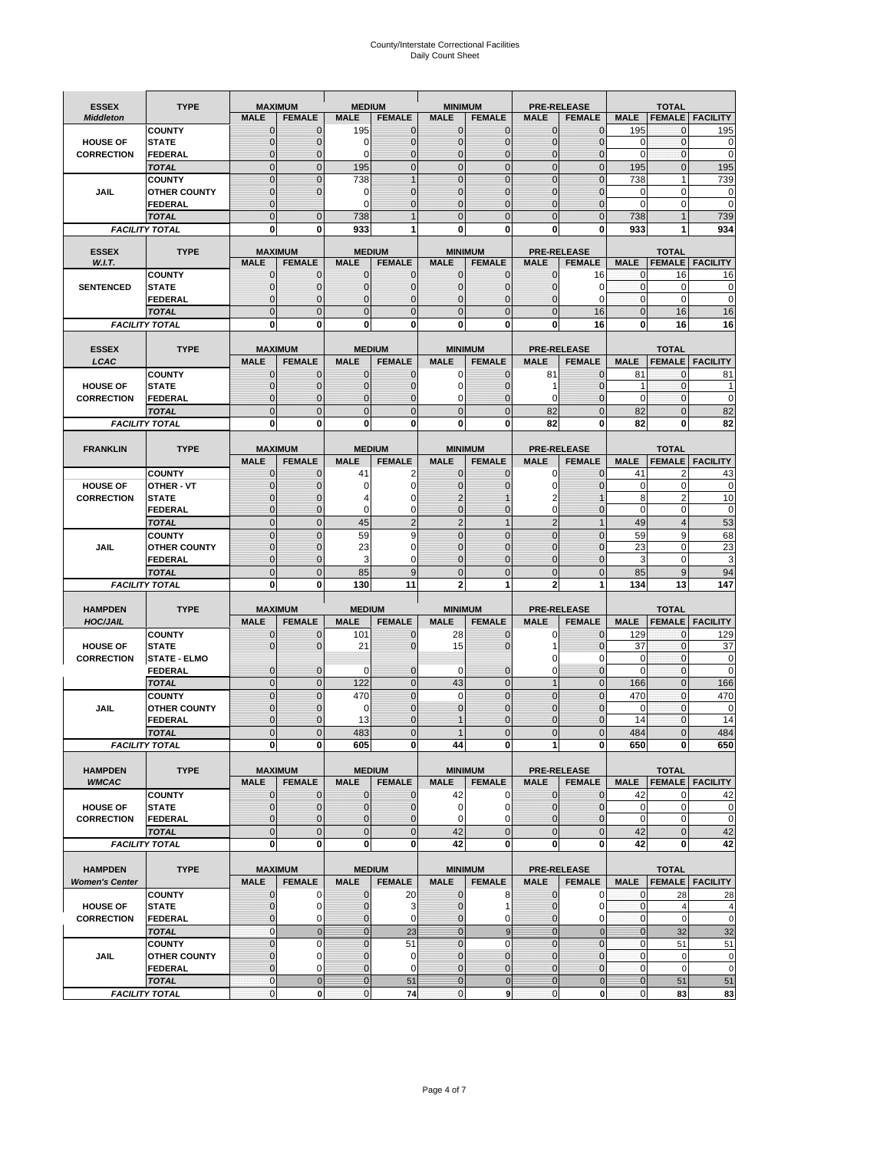# County/Interstate Correctional Facilities Daily Count Sheet

| <b>ESSEX</b>          | <b>TYPE</b>                           |                            | <b>MAXIMUM</b>                | <b>MEDIUM</b>                    |                               | <b>MINIMUM</b>                |                              |                               | <b>PRE-RELEASE</b>            |                               | <b>TOTAL</b>                 |                        |
|-----------------------|---------------------------------------|----------------------------|-------------------------------|----------------------------------|-------------------------------|-------------------------------|------------------------------|-------------------------------|-------------------------------|-------------------------------|------------------------------|------------------------|
| <b>Middleton</b>      |                                       | <b>MALE</b>                | <b>FEMALE</b>                 | <b>MALE</b>                      | <b>FEMALE</b>                 | <b>MALE</b>                   | <b>FEMALE</b>                | <b>MALE</b>                   | <b>FEMALE</b>                 | <b>MALE</b>                   |                              | <b>FEMALE FACILITY</b> |
|                       | <b>COUNTY</b>                         | 0                          | $\mathbf 0$                   | 195                              | 0                             | $\mathbf{0}$                  | $\mathbf{0}$                 | $\mathbf{0}$                  | $\Omega$                      | 195                           | 0                            | 195                    |
| <b>HOUSE OF</b>       | <b>STATE</b>                          | 0                          | $\mathbf 0$                   | $\Omega$                         | 0                             | $\mathbf 0$                   | $\mathbf{0}$                 | $\mathbf{0}$                  | $\Omega$                      | $\Omega$                      | $\mathbf{0}$                 | 0                      |
| <b>CORRECTION</b>     | <b>FEDERAL</b>                        | $\Omega$<br>$\mathbf 0$    | $\mathbf 0$<br>$\overline{0}$ | $\Omega$<br>195                  | $\overline{0}$<br>$\mathbf 0$ | $\mathbf{0}$<br>$\mathbf{0}$  | $\mathbf{0}$<br>$\mathbf{0}$ | $\mathbf{0}$<br>$\mathbf 0$   | $\Omega$<br>$\overline{0}$    | $\Omega$<br>195               | $\mathbf{0}$<br>$\mathbf{0}$ | $\mathbf 0$<br>195     |
|                       | <b>TOTAL</b><br><b>COUNTY</b>         | $\mathbf 0$                | $\mathbf{0}$                  | 738                              | $\overline{1}$                | $\mathbf{0}$                  | $\mathbf 0$                  | $\mathbf{0}$                  | $\overline{0}$                | 738                           | $\mathbf{1}$                 | 739                    |
| JAIL                  | <b>OTHER COUNTY</b>                   | $\mathbf{0}$               | $\mathbf 0$                   | 0                                | 0                             | $\mathbf{0}$                  | $\Omega$                     | $\mathbf{0}$                  | ſ                             | $\Omega$                      | $\Omega$                     | 0                      |
|                       | <b>FEDERAL</b>                        | $\mathbf{0}$               |                               | $\Omega$                         | 0                             | $\mathbf 0$                   | $\mathbf 0$                  | $\mathbf{0}$                  | $\mathbf 0$                   | $\mathbf 0$                   | 0                            | $\mathbf 0$            |
|                       | <b>TOTAL</b>                          | $\Omega$                   | $\overline{0}$                | 738                              | $\overline{1}$                | $\mathbf{0}$                  | $\Omega$                     | $\overline{0}$                | $\Omega$                      | 738                           |                              | 739                    |
|                       | <b>FACILITY TOTAL</b>                 | 0                          | 0                             | 933                              | 1                             | $\bf{0}$                      | 0                            | 0                             | 0                             | 933                           |                              | 934                    |
| <b>ESSEX</b>          | <b>TYPE</b>                           |                            | <b>MAXIMUM</b>                |                                  | <b>MEDIUM</b>                 |                               | <b>MINIMUM</b>               |                               | <b>PRE-RELEASE</b>            |                               | <b>TOTAL</b>                 |                        |
| W.I.T.                |                                       | <b>MALE</b>                | <b>FEMALE</b>                 | <b>MALE</b>                      | <b>FEMALE</b>                 | <b>MALE</b>                   | <b>FEMALE</b>                | <b>MALE</b>                   | <b>FEMALE</b>                 | <b>MALE</b>                   | <b>FEMALE</b>                | <b>FACILITY</b>        |
|                       | <b>COUNTY</b>                         | $\mathbf{0}$               | 0                             | $\mathbf 0$                      | $\mathbf{0}$                  | $\mathbf{0}$                  | $\mathbf{0}$                 | 0                             | 16                            | 0                             | 16                           | 16                     |
| <b>SENTENCED</b>      | <b>STATE</b>                          | 0                          | $\overline{0}$                | $\mathbf{0}$                     | 0                             | $\mathbf{0}$                  | $\mathbf{0}$                 | $\overline{0}$                | 0                             | $\mathbf{0}$                  | $\mathbf 0$                  | $\mathbf 0$            |
|                       | <b>FEDERAL</b>                        | $\overline{0}$             | $\mathbf 0$                   | $\Omega$                         | 0                             | $\mathbf{0}$                  | $\Omega$                     | 0                             | $\Omega$                      | $\mathbf{0}$                  | $\Omega$                     | $\mathbf 0$            |
|                       | <b>TOTAL</b>                          | $\overline{0}$             | $\overline{0}$                | $\mathbf{0}$                     | $\overline{0}$                | $\mathbf{0}$                  | $\overline{0}$               | $\mathbf 0$                   | 16                            | $\mathbf{0}$                  | 16                           | 16                     |
|                       | <b>FACILITY TOTAL</b>                 | $\mathbf{0}$               | 0                             | $\bf{0}$                         | O                             | $\bf{0}$                      | 0                            | 0                             | 16                            | $\bf{0}$                      | 16                           | 16                     |
| <b>ESSEX</b>          | <b>TYPE</b>                           |                            | <b>MAXIMUM</b>                |                                  | <b>MEDIUM</b>                 |                               | <b>MINIMUM</b>               |                               | <b>PRE-RELEASE</b>            |                               | <b>TOTAL</b>                 |                        |
| LCAC                  |                                       | <b>MALE</b>                | <b>FEMALE</b>                 | <b>MALE</b>                      | <b>FEMALE</b>                 | <b>MALE</b>                   | <b>FEMALE</b>                | <b>MALE</b>                   | <b>FEMALE</b>                 | <b>MALE</b>                   | <b>FEMALE</b>                | <b>FACILITY</b>        |
|                       | <b>COUNTY</b>                         | 0                          | $\mathbf 0$                   | $\mathbf{0}$                     | 0                             | $\mathbf 0$                   | $\mathbf{0}$                 | 81                            | $\Omega$                      | 81                            | $\mathbf 0$                  | 81                     |
| <b>HOUSE OF</b>       | <b>STATE</b>                          | $\Omega$                   | $\mathbf 0$                   | $\Omega$                         | 0                             | $\Omega$                      | $\Omega$                     | 1                             | $\Omega$                      | 1                             | $\Omega$                     |                        |
| <b>CORRECTION</b>     | <b>FEDERAL</b>                        | 0                          | $\overline{0}$                | $\mathbf{0}$                     | 0                             | $\mathbf 0$                   | $\overline{0}$               | $\mathbf 0$                   | $\mathcal{C}$                 | $\mathbf 0$                   | $\mathbf{0}$                 | $\mathbf 0$            |
|                       | <b>TOTAL</b>                          | $\overline{0}$             | $\overline{0}$                | $\overline{0}$                   | $\overline{0}$                | $\mathbf 0$                   | $\Omega$                     | 82                            | $\overline{0}$                | 82                            | $\Omega$                     | 82                     |
|                       | <b>FACILITY TOTAL</b>                 | 0                          | 0                             | 0                                | 0                             | $\bf{0}$                      | 0                            | 82                            | 0                             | 82                            | 0                            | 82                     |
| <b>FRANKLIN</b>       | <b>TYPE</b>                           |                            | <b>MAXIMUM</b>                |                                  | <b>MEDIUM</b>                 |                               | <b>MINIMUM</b>               |                               | <b>PRE-RELEASE</b>            |                               | <b>TOTAL</b>                 |                        |
|                       |                                       | <b>MALE</b>                | <b>FEMALE</b>                 | <b>MALE</b>                      | <b>FEMALE</b>                 | <b>MALE</b>                   | <b>FEMALE</b>                | <b>MALE</b>                   | <b>FEMALE</b>                 | <b>MALE</b>                   | <b>FEMALE</b>                | <b>FACILITY</b>        |
|                       | <b>COUNTY</b>                         | 0                          | 0                             | 41                               | 2                             | $\mathbf{0}$                  | 0                            | 0                             | $\Omega$                      | 41                            | $\overline{2}$               | 43                     |
| <b>HOUSE OF</b>       | <b>OTHER - VT</b>                     | 0                          | $\overline{0}$                | 0                                | $\mathbf 0$                   | $\overline{0}$                | $\Omega$                     | $\mathbf 0$                   | $\sqrt{ }$                    | $\mathbf 0$                   | $\mathbf 0$                  | 0                      |
| <b>CORRECTION</b>     | <b>STATE</b>                          | 0                          | $\mathbf 0$                   | 4                                | 0                             | $\overline{2}$                |                              | 2                             |                               | 8                             | $\overline{2}$               | 10                     |
|                       | <b>FEDERAL</b>                        | $\mathbf{0}$               | $\overline{0}$                | $\Omega$                         | 0                             | $\mathbf{0}$                  | $\mathbf{0}$                 | $\mathbf 0$                   | $\overline{0}$                | $\mathbf 0$                   | $\mathbf 0$                  | $\mathbf 0$            |
|                       | <b>TOTAL</b>                          | $\mathbf 0$                | $\mathbf{0}$                  | 45                               | $\overline{2}$                | $\overline{2}$                | $\mathbf{1}$                 | $\overline{2}$                | 1                             | 49                            | $\overline{4}$               | 53                     |
|                       | <b>COUNTY</b>                         | $\mathbf 0$<br>$\mathbf 0$ | $\mathbf 0$<br>$\mathbf 0$    | 59                               | 9<br>0                        | $\mathbf 0$<br>$\Omega$       | $\mathbf 0$<br>$\Omega$      | $\mathbf{0}$<br>$\mathbf 0$   | $\overline{0}$<br>$\sqrt{ }$  | 59<br>23                      | 9<br>$\Omega$                | 68<br>$\overline{23}$  |
| <b>JAIL</b>           | <b>OTHER COUNTY</b><br><b>FEDERAL</b> | $\overline{0}$             | $\overline{0}$                | 23<br>3                          | 0                             | $\mathbf{0}$                  | $\mathbf 0$                  | $\mathbf{0}$                  | $\mathbf 0$                   | 3                             | $\mathbf 0$                  | 3                      |
|                       | <b>TOTAL</b>                          | $\mathbf 0$                | $\mathbf 0$                   | 85                               | 9                             | $\mathbf 0$                   | $\overline{0}$               | $\mathbf{0}$                  | $\overline{0}$                | 85                            | 9                            | 94                     |
|                       | <b>FACILITY TOTAL</b>                 | 0                          | 0                             | 130                              | 11                            | $\overline{2}$                | 1                            | $\overline{2}$                |                               | 134                           | 13                           | 147                    |
|                       |                                       |                            |                               |                                  |                               |                               |                              |                               |                               |                               |                              |                        |
| <b>HAMPDEN</b>        | <b>TYPE</b>                           |                            | <b>MAXIMUM</b>                | <b>MEDIUM</b>                    |                               | <b>MINIMUM</b>                |                              |                               | <b>PRE-RELEASE</b>            |                               | <b>TOTAL</b>                 |                        |
| <b>HOC/JAIL</b>       |                                       | <b>MALE</b>                | <b>FEMALE</b>                 | <b>MALE</b>                      | <b>FEMALE</b>                 | <b>MALE</b>                   | <b>FEMALE</b>                | <b>MALE</b>                   | <b>FEMALE</b>                 | <b>MALE</b>                   | <b>FEMALE</b>                | <b>FACILITY</b>        |
| <b>HOUSE OF</b>       | <b>COUNTY</b><br><b>STATE</b>         | $\mathbf{0}$<br>$\Omega$   | 0<br>$\overline{0}$           | 101<br>21                        | 0<br>0                        | 28<br>15                      | $\mathbf 0$<br>$\Omega$      | 0<br>1                        | $\Omega$<br>$\Omega$          | 129<br>37                     | $\mathbf 0$<br>$\mathbf{0}$  | 129<br>37              |
| <b>CORRECTION</b>     | <b>STATE - ELMO</b>                   |                            |                               |                                  |                               |                               |                              | 0                             | $\Omega$                      | 0                             | $\mathbf 0$                  | 0                      |
|                       | <b>FEDERAL</b>                        | $\mathbf{0}$               | $\mathbf 0$                   | 0                                | 0                             | 0                             | $\mathbf 0$                  | $\mathbf 0$                   | $\overline{0}$                | $\Omega$                      | $\mathbf{0}$                 | 0                      |
|                       | <b>TOTAL</b>                          | $\mathbf{0}$               | $\overline{0}$                | 122                              | $\overline{0}$                | 43                            | $\mathbf{0}$                 | $\mathbf{1}$                  | $\overline{0}$                | 166                           | $\mathbf{0}$                 | 166                    |
|                       | <b>COUNTY</b>                         | $\Omega$                   | $\overline{0}$                | 470                              | $\overline{0}$                | $\Omega$                      | $\Omega$                     | $\overline{0}$                | $\Omega$                      | 470                           | $\Omega$                     | 470                    |
| JAIL                  | <b>OTHER COUNTY</b>                   | 0                          | $\mathbf 0$                   | 0                                | 0                             | $\mathbf{0}$                  | $\Omega$                     | $\mathbf 0$                   | $\Omega$                      | $\mathbf 0$                   | $\mathbf{0}$                 | $\mathbf 0$            |
|                       | <b>FEDERAL</b>                        | $\Omega$<br>$\overline{0}$ | $\Omega$<br>$\mathcal{C}$     | 13                               | $\Omega$<br>$\overline{0}$    |                               | $\Omega$<br>$\Omega$         | $\mathbf 0$<br>$\overline{0}$ | $\Omega$                      | 14                            | $\Omega$                     | 14<br>484              |
|                       | <b>TOTAL</b><br><b>FACILITY TOTAL</b> | $\mathbf{0}$               | 0                             | 483<br>605                       | 0                             | 44                            | 0                            | 1                             | 0                             | 484<br>650                    | 0                            | 650                    |
|                       |                                       |                            |                               |                                  |                               |                               |                              |                               |                               |                               |                              |                        |
| <b>HAMPDEN</b>        | <b>TYPE</b>                           |                            | <b>MAXIMUM</b>                |                                  | <b>MEDIUM</b>                 |                               | <b>MINIMUM</b>               |                               | PRE-RELEASE                   |                               | <b>TOTAL</b>                 |                        |
| <b>WMCAC</b>          |                                       | <b>MALE</b>                | <b>FEMALE</b>                 | <b>MALE</b>                      | <b>FEMALE</b>                 | <b>MALE</b>                   | <b>FEMALE</b>                | <b>MALE</b>                   | <b>FEMALE</b>                 | <b>MALE</b>                   |                              | <b>FEMALE FACILITY</b> |
|                       | <b>COUNTY</b>                         | 0                          | $\mathbf 0$                   | $\mathbf{0}$                     | 0                             | 42                            | 0                            | $\mathbf 0$                   | $\mathbf 0$                   | 42                            | 0                            | 42                     |
| <b>HOUSE OF</b>       | <b>STATE</b>                          | 0                          | $\mathbf{0}$                  | $\mathbf{0}$                     | 0                             | $\mathbf 0$                   | 0                            | $\mathbf{0}$                  | $\mathbf{0}$                  | $\mathbf 0$                   | $\mathbf 0$                  | $\pmb{0}$              |
| <b>CORRECTION</b>     | <b>FEDERAL</b><br><b>TOTAL</b>        | 0<br>$\mathbf 0$           | $\overline{0}$<br>$\mathbf 0$ | $\overline{0}$<br>$\overline{0}$ | 0<br>$\mathbf 0$              | $\mathbf 0$<br>42             | 0<br>$\mathbf 0$             | 0<br>$\mathbf 0$              | $\overline{0}$<br>$\mathbf 0$ | $\mathbf 0$<br>42             | $\mathbf 0$<br>$\mathbf 0$   | $\pmb{0}$<br>42        |
|                       | <b>FACILITY TOTAL</b>                 | 0                          | 0                             | $\mathbf{0}$                     | 0                             | 42                            | 0                            | 0                             | $\mathbf 0$                   | 42                            | 0                            | 42                     |
|                       |                                       |                            |                               |                                  |                               |                               |                              |                               |                               |                               |                              |                        |
| <b>HAMPDEN</b>        | <b>TYPE</b>                           |                            | <b>MAXIMUM</b>                |                                  | <b>MEDIUM</b>                 |                               | <b>MINIMUM</b>               |                               | <b>PRE-RELEASE</b>            |                               | <b>TOTAL</b>                 |                        |
| <b>Women's Center</b> |                                       | <b>MALE</b>                | <b>FEMALE</b>                 | <b>MALE</b>                      | <b>FEMALE</b>                 | <b>MALE</b>                   | <b>FEMALE</b>                | <b>MALE</b>                   | <b>FEMALE</b>                 | <b>MALE</b>                   |                              | <b>FEMALE FACILITY</b> |
|                       | <b>COUNTY</b>                         | 0                          | 0                             | 0                                | 20                            | $\bf{0}$                      | 8                            | 0                             | 0                             | 0                             | 28                           | 28                     |
| <b>HOUSE OF</b>       | <b>STATE</b>                          | $\mathbf{0}$               | $\mathbf 0$                   | $\mathbf 0$                      | 3                             | $\mathbf{0}$                  |                              | $\mathbf 0$                   | 0                             | $\mathbf{0}$                  | $\overline{4}$               | 4                      |
| <b>CORRECTION</b>     | <b>FEDERAL</b><br><b>TOTAL</b>        | 0<br>$\mathbf{0}$          | 0<br>$\mathbf{0}$             | 0<br>$\overline{0}$              | 0<br>23                       | $\mathbf 0$<br>$\overline{0}$ | 0<br>9                       | $\mathbf{0}$<br>$\mathbf{0}$  | 0<br>$\mathbf{0}$             | $\mathbf 0$<br>$\overline{0}$ | $\mathbf 0$<br>32            | $\mathbf 0$<br>32      |
|                       | <b>COUNTY</b>                         | $\mathbf 0$                | $\mathbf 0$                   | $\mathbf{0}$                     | 51                            | $\mathbf{0}$                  | $\Omega$                     | $\overline{0}$                | $\overline{0}$                | $\mathbf 0$                   | 51                           | 51                     |
| JAIL                  | <b>OTHER COUNTY</b>                   | $\overline{0}$             | 0                             | $\mathbf{0}$                     | 0                             | $\mathbf{0}$                  | $\mathbf{0}$                 | $\mathbf{0}$                  | $\Omega$                      | $\mathbf 0$                   | $\mathbf 0$                  | 0                      |
|                       | <b>FEDERAL</b>                        | 0                          | 0                             | $\mathbf{0}$                     | 0                             | $\mathbf 0$                   | $\mathbf{0}$                 | 0                             | $\overline{0}$                | $\mathbf 0$                   | $\mathbf 0$                  | $\mathbf 0$            |
|                       | <b>TOTAL</b>                          | $\mathbf{0}$               | $\mathbf 0$                   | $\overline{0}$                   | 51                            | $\bf{0}$                      | $\mathbf 0$                  | $\bf{0}$                      | $\pmb{0}$                     | $\mathbf{0}$                  | 51                           | 51                     |
|                       | <b>FACILITY TOTAL</b>                 | 0                          | $\pmb{0}$                     | $\pmb{0}$                        | 74                            | $\mathbf 0$                   | 9                            | $\mathbf{0}$                  | $\mathbf 0$                   | $\pmb{0}$                     | 83                           | 83                     |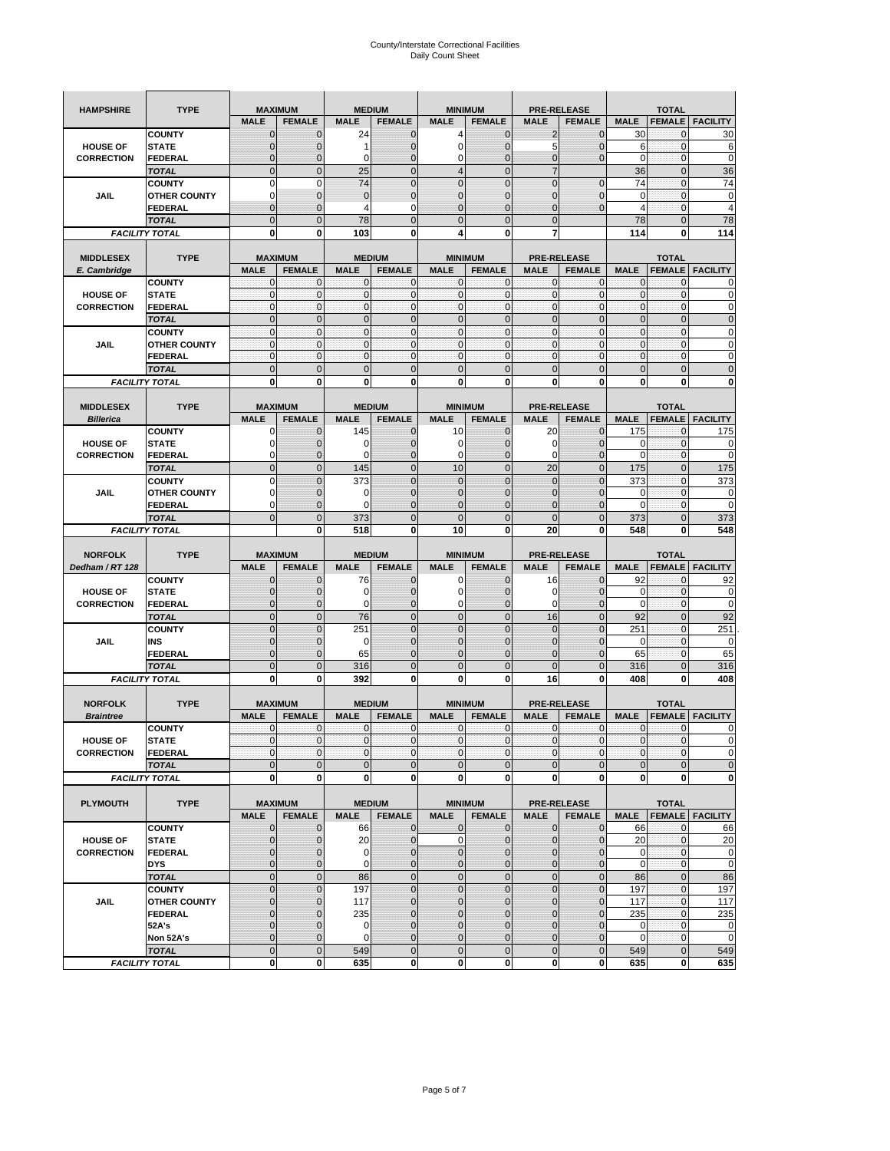| <b>HAMPSHIRE</b>  | <b>TYPE</b>                           | <b>MAXIMUM</b>        |                               | <b>MEDIUM</b>  |                                | <b>MINIMUM</b>                   |                                | <b>PRE-RELEASE</b>  |                               | <b>TOTAL</b>   |                         |                                                                                                                                                     |
|-------------------|---------------------------------------|-----------------------|-------------------------------|----------------|--------------------------------|----------------------------------|--------------------------------|---------------------|-------------------------------|----------------|-------------------------|-----------------------------------------------------------------------------------------------------------------------------------------------------|
|                   |                                       | <b>MALE</b>           | <b>FEMALE</b>                 | <b>MALE</b>    | <b>FEMALE</b>                  | <b>MALE</b>                      | <b>FEMALE</b>                  | <b>MALE</b>         | <b>FEMALE</b>                 | <b>MALE</b>    | <b>FEMALE</b>           | <b>FACILITY</b>                                                                                                                                     |
|                   | <b>COUNTY</b>                         | $\mathbf 0$           | $\mathbf 0$                   | 24             | $\mathbf 0$                    | 4                                | $\mathbf 0$                    | 2                   | $\mathbf 0$                   | 30             | $\mathbf{0}$            | 30                                                                                                                                                  |
| <b>HOUSE OF</b>   | <b>STATE</b>                          | $\mathbf{0}$          | $\overline{0}$                |                | $\mathbf 0$                    | $\mathbf 0$                      | $\mathbf 0$                    | 5                   | $\overline{0}$                | 6              | $\mathbf 0$             | 6                                                                                                                                                   |
| <b>CORRECTION</b> | <b>FEDERAL</b>                        | $\mathbf{0}$          | 0                             | 0              | $\overline{0}$                 | 0                                | $\overline{0}$                 | 0                   | $\mathbf 0$                   | 0              | $\bf{0}$                | $\mathbf 0$                                                                                                                                         |
|                   | <b>TOTAL</b>                          | $\mathbf{0}$          | $\overline{0}$                | 25             | $\mathbf 0$                    | $\overline{4}$                   | $\mathbf{0}$                   | $\overline{7}$      |                               | 36             | $\mathbf{0}$            | 36                                                                                                                                                  |
|                   | <b>COUNTY</b>                         | $\mathbf 0$           | $\mathbf 0$                   | 74             | $\overline{0}$                 | $\overline{0}$                   | $\overline{0}$                 | $\mathbf 0$         | $\overline{0}$                | 74             | $\mathbf{0}$            | 74                                                                                                                                                  |
| JAIL              | <b>OTHER COUNTY</b>                   | $\Omega$              | $\mathbf{0}$                  | $\mathbf 0$    | $\mathbf 0$                    | $\mathbf{0}$                     | $\overline{0}$                 | 0                   | $\mathbf 0$                   | 0              | $\mathbf 0$             | 0                                                                                                                                                   |
|                   | FEDERAL                               | $\mathbf{0}$          | $\overline{0}$                | 4              | 0                              | $\overline{0}$                   | $\mathbf{0}$                   | $\overline{0}$      | $\mathbf 0$                   | $\overline{4}$ | $\mathbf{0}$            | $\overline{4}$                                                                                                                                      |
|                   | <b>TOTAL</b>                          | $\mathbf{0}$          | $\mathbf 0$                   | 78             | $\mathbf 0$                    | $\mathbf 0$                      | $\mathbf 0$                    | $\mathbf{0}$        |                               | 78             | $\mathbf 0$             | 78                                                                                                                                                  |
|                   | <b>FACILITY TOTAL</b>                 | 0                     | 0                             | 103            | 0                              | 4                                | 0                              | 7                   |                               | 114            | 0                       | 114                                                                                                                                                 |
|                   |                                       |                       |                               |                |                                |                                  |                                |                     |                               |                |                         |                                                                                                                                                     |
| <b>MIDDLESEX</b>  | <b>TYPE</b>                           |                       | <b>MAXIMUM</b>                |                | <b>MEDIUM</b>                  | <b>MINIMUM</b>                   |                                |                     | <b>PRE-RELEASE</b>            |                | <b>TOTAL</b>            |                                                                                                                                                     |
| E. Cambridge      |                                       | <b>MALE</b>           | <b>FEMALE</b>                 | <b>MALE</b>    | <b>FEMALE</b>                  | <b>MALE</b>                      | <b>FEMALE</b>                  | <b>MALE</b>         | <b>FEMALE</b>                 | <b>MALE</b>    | <b>FEMALE</b>           | <b>FACILITY</b>                                                                                                                                     |
|                   | <b>COUNTY</b>                         | 0                     | 0                             | $\mathbf 0$    | 0                              | 0                                | $\mathbf{0}$                   | 0                   | 0                             | 0              | 0                       | 0                                                                                                                                                   |
| <b>HOUSE OF</b>   | <b>STATE</b>                          | $\pmb{0}$             | 0                             | $\mathbf{0}$   | $\mathbf 0$                    | $\mathbf 0$                      | $\mathbf 0$                    | $\mathbf 0$         | $\mathbf 0$                   | $\pmb{0}$      | $\mathbf 0$             | 0                                                                                                                                                   |
| <b>CORRECTION</b> | <b>FEDERAL</b>                        | $\mathbf{0}$          | $\mathbf 0$                   | $\mathbf 0$    | $\mathbf 0$                    | $\mathbf 0$                      | $\mathbf{0}$                   | $\mathbf 0$         | $\mathbf 0$                   | $\mathbf{0}$   | $\mathbf 0$             | $\mathbf 0$                                                                                                                                         |
|                   | <b>TOTAL</b>                          | $\Omega$              | $\mathbf 0$                   | $\mathbf{0}$   | $\mathbf 0$                    | $\mathbf 0$                      | $\mathbf 0$                    | $\mathbf{0}$        | $\overline{0}$                | $\pmb{0}$      | $\mathbf{0}$            | $\mathbf 0$                                                                                                                                         |
|                   | <b>COUNTY</b>                         | $\mathbf{0}$          | $\mathbf{0}$                  | $\mathbf{0}$   | $\mathbf{0}$                   | $\mathbf{0}$                     | $\mathbf{0}$                   | $\mathbf{0}$        | $\mathbf 0$                   | $\mathbf{0}$   | $\mathbf{0}$            | 0                                                                                                                                                   |
| JAIL              | <b>OTHER COUNTY</b>                   | 0                     | $\mathbf 0$                   | $\mathbf 0$    | 0                              | $\mathbf{0}$                     | $\overline{0}$                 | $\mathbf{0}$        | 0                             | $\pmb{0}$      | 0                       | 0                                                                                                                                                   |
|                   | <b>FEDERAL</b>                        | $\mathbf{0}$          | $\mathbf{0}$                  | $\mathbf 0$    | $\mathbf 0$                    | $\mathbf{0}$                     | $\overline{0}$                 | $\mathbf{0}$        | $\mathbf 0$                   | $\mathbf{0}$   | $\mathbf{0}$            | 0                                                                                                                                                   |
|                   | <b>TOTAL</b>                          | $\mathbf 0$           | $\overline{0}$                | $\overline{0}$ | $\overline{0}$                 | $\overline{0}$                   | $\overline{0}$                 | $\overline{0}$      | $\overline{0}$                | $\mathbf{0}$   | $\overline{0}$          | $\overline{0}$                                                                                                                                      |
|                   | <b>FACILITY TOTAL</b>                 | 0                     | 0                             | 0              | 0                              | 0                                | 0                              | 0                   | 0                             | 0              | 0                       | 0                                                                                                                                                   |
|                   |                                       |                       |                               |                |                                |                                  |                                |                     |                               |                |                         |                                                                                                                                                     |
| <b>MIDDLESEX</b>  | <b>TYPE</b>                           |                       | <b>MAXIMUM</b>                |                | <b>MEDIUM</b>                  | <b>MINIMUM</b>                   |                                |                     | <b>PRE-RELEASE</b>            | <b>MALE</b>    | <b>TOTAL</b>            |                                                                                                                                                     |
| <b>Billerica</b>  |                                       | <b>MALE</b>           | <b>FEMALE</b>                 | <b>MALE</b>    | <b>FEMALE</b>                  | <b>MALE</b>                      | <b>FEMALE</b>                  | <b>MALE</b>         | <b>FEMALE</b>                 |                | <b>FEMALE</b>           | <b>FACILITY</b>                                                                                                                                     |
|                   | <b>COUNTY</b>                         | 0                     | $\mathbf 0$                   | 145            | 0                              | 10                               | $\mathbf{0}$                   | 20                  | 0                             | 175            | 0                       | 175                                                                                                                                                 |
| <b>HOUSE OF</b>   | <b>STATE</b>                          | 0                     | $\mathbf 0$                   | 0              | $\mathbf 0$                    | 0                                | 0                              | 0                   | $\mathbf 0$                   | 0              | $\mathbf 0$             | 0                                                                                                                                                   |
| <b>CORRECTION</b> | <b>FEDERAL</b>                        | 0<br>$\mathbf{0}$     | $\mathbf{0}$                  | 0              | 0                              | 0                                | $\mathbf{0}$<br>$\overline{0}$ | 0                   | $\mathbf 0$                   | 0              | 0                       | 0                                                                                                                                                   |
|                   | <b>TOTAL</b>                          |                       | $\mathbf 0$                   | 145            | $\mathbf 0$                    | 10                               |                                | 20                  | $\overline{0}$                | 175            | $\mathbf{0}$            | 175                                                                                                                                                 |
|                   | <b>COUNTY</b>                         | $\Omega$              | $\overline{0}$                | 373            | $\Omega$                       | $\overline{0}$                   | $\Omega$                       | $\overline{0}$      | $\Omega$                      | 373            | $\mathbf 0$             | 373                                                                                                                                                 |
| JAIL              | <b>OTHER COUNTY</b>                   | 0                     | 0                             | 0              | $\mathbf{0}$                   | $\mathbf 0$                      | $\mathbf{0}$                   | $\mathbf{0}$        | $\overline{0}$                | 0<br>$\Omega$  | 0                       | 0<br>$\mathbf 0$                                                                                                                                    |
|                   | <b>FEDERAL</b>                        | $\Omega$              | $\mathbf 0$<br>$\overline{0}$ | $\Omega$       | $\mathbf 0$                    | $\overline{0}$<br>$\overline{0}$ | $\mathbf 0$<br>$\overline{0}$  | 0<br>$\overline{0}$ | $\mathbf 0$                   |                | $\mathbf 0$             |                                                                                                                                                     |
|                   | <b>TOTAL</b>                          | $\mathbf{0}$          |                               | 373            | $\overline{0}$                 |                                  |                                |                     | $\overline{0}$                | 373            | $\overline{0}$          | 373                                                                                                                                                 |
|                   | <b>FACILITY TOTAL</b>                 |                       | 0                             | 518            | 0                              | 10                               | $\mathbf 0$                    | 20                  | 0                             | 548            | 0                       | 548                                                                                                                                                 |
|                   |                                       |                       |                               |                |                                |                                  |                                |                     |                               |                |                         |                                                                                                                                                     |
|                   |                                       |                       |                               |                |                                |                                  |                                |                     |                               |                |                         |                                                                                                                                                     |
| <b>NORFOLK</b>    | <b>TYPE</b>                           |                       | <b>MAXIMUM</b>                |                | <b>MEDIUM</b>                  | <b>MINIMUM</b>                   |                                |                     | <b>PRE-RELEASE</b>            |                | <b>TOTAL</b>            |                                                                                                                                                     |
| Dedham / RT 128   |                                       | <b>MALE</b>           | <b>FEMALE</b>                 | <b>MALE</b>    | <b>FEMALE</b>                  | <b>MALE</b>                      | <b>FEMALE</b>                  | <b>MALE</b>         | <b>FEMALE</b>                 | <b>MALE</b>    | <b>FEMALE</b>           | <b>FACILITY</b>                                                                                                                                     |
|                   | <b>COUNTY</b>                         | 0                     | $\mathbf 0$                   | 76             | 0                              | 0                                | $\mathbf{0}$                   | 16                  | 0                             | 92             | 0                       | 92                                                                                                                                                  |
| <b>HOUSE OF</b>   | <b>STATE</b>                          | $\mathbf{0}$          | $\mathbf 0$                   | 0              | $\mathbf{0}$                   | 0                                | $\mathbf{0}$                   | 0                   | $\mathbf 0$                   | 0              | $\mathbf{0}$            | 0                                                                                                                                                   |
| <b>CORRECTION</b> | FEDERAL                               | $\mathbf{0}$          | 0                             | 0              | 0                              | 0                                | $\overline{0}$                 | 0                   | 0                             | $\mathbf 0$    | $\mathbf{0}$            | $\mathbf 0$                                                                                                                                         |
|                   | <b>TOTAL</b>                          | $\pmb{0}$<br>$\Omega$ | $\mathbf 0$                   | 76             | $\mathbf 0$                    | $\mathbf 0$                      | $\overline{0}$<br>$\Omega$     | 16                  | $\mathbf 0$                   | 92             | $\mathbf 0$             | 92                                                                                                                                                  |
|                   | <b>COUNTY</b>                         | $\mathbf{0}$          | $\overline{0}$                | 251<br>0       | $\overline{0}$<br>$\mathbf{0}$ | $\overline{0}$                   | $\mathbf{0}$                   | $\mathbf 0$<br>0    | $\overline{0}$<br>$\mathbf 0$ | 251<br>0       | $\mathbf 0$             | 251                                                                                                                                                 |
| JAIL              | INS                                   | $\mathbf{0}$          | 0<br>$\mathbf 0$              | 65             | $\mathbf 0$                    | $\mathbf 0$<br>$\overline{0}$    | $\Omega$                       | $\mathbf 0$         | $\mathbf 0$                   | 65             | 0<br>$\mathbf 0$        |                                                                                                                                                     |
|                   | <b>FEDERAL</b>                        |                       |                               |                |                                |                                  |                                |                     |                               |                |                         | 65                                                                                                                                                  |
|                   | <b>TOTAL</b>                          | $\mathbf 0$<br>0      | $\mathbf 0$<br>0              | 316<br>392     | $\overline{0}$<br>0            | $\overline{0}$<br>0              | $\overline{0}$<br>0            | $\overline{0}$      | $\overline{0}$<br>0           | 316<br>408     | $\mathbf{0}$<br>0       | 316<br>408                                                                                                                                          |
|                   | <b>FACILITY TOTAL</b>                 |                       |                               |                |                                |                                  |                                | 16                  |                               |                |                         |                                                                                                                                                     |
| <b>NORFOLK</b>    | <b>TYPE</b>                           |                       | <b>MAXIMUM</b>                |                | <b>MEDIUM</b>                  | <b>MINIMUM</b>                   |                                |                     | <b>PRE-RELEASE</b>            |                | <b>TOTAL</b>            |                                                                                                                                                     |
| <b>Braintree</b>  |                                       | <b>MALE</b>           | <b>FEMALE</b>                 | <b>MALE</b>    | <b>FEMALE</b>                  | <b>MALE</b>                      | <b>FEMALE</b>                  | <b>MALE</b>         | <b>FEMALE</b>                 | <b>MALE</b>    | <b>FEMALE</b>           | <b>FACILITY</b>                                                                                                                                     |
|                   | <b>COUNTY</b>                         | $\mathbf{0}$          | $\mathbf{0}$                  | $\mathbf 0$    | 0                              | 0                                | $\mathbf{0}$                   | 0                   | $\mathbf{0}$                  | $\mathbf 0$    | 0                       |                                                                                                                                                     |
| <b>HOUSE OF</b>   | <b>STATE</b>                          | $\Omega$              | $\Omega$                      | $\Omega$       | $\overline{0}$                 | $\Omega$                         | $\Omega$                       | $\mathbf{0}$        | $\Omega$                      | $\Omega$       | $\Omega$                | 0<br>0                                                                                                                                              |
| <b>CORRECTION</b> | FEDERAL                               | $\mathbf 0$           | 0                             | $\mathbf 0$    | $\mathbf 0$                    | $\mathbf 0$                      | $\overline{0}$                 | $\mathbf 0$         | $\mathbf 0$                   | $\overline{0}$ | $\mathbf 0$             |                                                                                                                                                     |
|                   | <b>TOTAL</b>                          | $\mathbf 0$           | $\overline{0}$                | $\mathbf{0}$   | $\mathbf 0$                    | $\mathbf 0$                      | $\mathbf 0$                    | $\mathbf 0$         | $\mathbf 0$                   | $\mathbf 0$    | $\pmb{0}$               |                                                                                                                                                     |
|                   | <b>FACILITY TOTAL</b>                 | $\mathbf 0$           | 0                             | 0              | 0                              | $\mathbf 0$                      | <sub>0</sub>                   | 0                   | 0                             | $\mathbf{0}$   | $\mathbf 0$             |                                                                                                                                                     |
|                   |                                       |                       |                               |                |                                |                                  |                                |                     |                               |                |                         |                                                                                                                                                     |
| <b>PLYMOUTH</b>   | <b>TYPE</b>                           |                       | <b>MAXIMUM</b>                |                | <b>MEDIUM</b>                  |                                  | <b>MINIMUM</b>                 |                     | <b>PRE-RELEASE</b>            |                | <b>TOTAL</b>            |                                                                                                                                                     |
|                   |                                       | <b>MALE</b>           | <b>FEMALE</b>                 | <b>MALE</b>    | <b>FEMALE</b>                  | <b>MALE</b>                      | <b>FEMALE</b>                  | <b>MALE</b>         | <b>FEMALE</b>                 | <b>MALE</b>    |                         | <b>FEMALE   FACILITY</b>                                                                                                                            |
|                   | <b>COUNTY</b>                         | $\mathbf{0}$          | 0                             | 66             | $\mathbf{0}$                   | 0                                | $\mathbf{O}$                   | $\mathbf 0$         | 0                             | 66             | $\mathbf 0$             |                                                                                                                                                     |
| <b>HOUSE OF</b>   | <b>STATE</b>                          | $\mathbf{0}$          | $\mathbf 0$                   | 20             | $\mathbf{0}$                   | $\mathbf 0$                      | $\mathbf{0}$                   | $\mathbf{0}$        | $\overline{0}$                | 20             | $\mathbf 0$             |                                                                                                                                                     |
| <b>CORRECTION</b> | <b>FEDERAL</b>                        | $\mathbf 0$           | $\mathbf 0$                   | 0              | $\pmb{0}$                      | $\mathbf 0$                      | $\mathbf{0}$                   | 0                   | $\mathbf 0$                   | $\mathbf 0$    | $\mathbf 0$             |                                                                                                                                                     |
|                   | <b>DYS</b>                            | $\mathbf{0}$          | $\mathbf{0}$                  | 0              | $\mathbf{0}$                   | $\mathbf 0$                      | $\mathbf{0}$                   | $\mathbf 0$         | $\overline{0}$                | $\mathbf 0$    | $\Omega$                |                                                                                                                                                     |
|                   | <b>TOTAL</b>                          | $\mathbf 0$           | $\mathbf 0$                   | 86             | $\mathbf 0$                    | $\mathbf 0$                      | $\mathbf 0$                    | $\mathbf 0$         | $\pmb{0}$                     | 86             | $\mathbf 0$             |                                                                                                                                                     |
|                   | <b>COUNTY</b>                         | $\mathbf 0$           | $\mathbf 0$                   | 197            | $\mathbf{0}$                   | $\mathbf 0$                      | $\overline{0}$                 | $\mathbf 0$         | $\mathbf 0$                   | 197            | $\mathbf{O}$            | 197                                                                                                                                                 |
| JAIL              | <b>OTHER COUNTY</b>                   | $\mathbf{0}$          | 0                             | 117            | $\mathbf 0$                    | $\mathbf 0$                      | $\mathbf{0}$                   | 0                   | $\mathbf{0}$                  | 117            | $\mathbf 0$             | 117                                                                                                                                                 |
|                   | <b>FEDERAL</b>                        | $\mathbf{0}$          | $\mathbf{0}$                  | 235            | 0                              | $\mathbf{0}$                     | $\overline{0}$                 | $\mathbf 0$         | $\overline{0}$                | 235            | $\mathbf 0$             |                                                                                                                                                     |
|                   | 52A's                                 | $\mathbf{0}$          | $\mathbf{0}$                  | 0              | $\mathbf{0}$                   | $\mathbf 0$                      | $\overline{0}$                 | 0                   | $\mathbf 0$                   | $\mathbf 0$    | $\mathbf{0}$            |                                                                                                                                                     |
|                   | Non 52A's                             | $\mathbf{0}$          | $\mathbf{0}$                  | $\mathbf{0}$   | $\mathbf{0}$                   | $\mathbf 0$                      | $\overline{0}$                 | $\mathbf 0$         | 0                             | $\mathbf 0$    | $\mathbf 0$             |                                                                                                                                                     |
|                   | <b>TOTAL</b><br><b>FACILITY TOTAL</b> | $\mathbf 0$<br>0      | $\mathbf 0$<br>0              | 549<br>635     | $\mathbf 0$<br>0               | $\mathbf 0$<br>$\mathbf 0$       | $\mathbf{0}$<br>$\mathbf{0}$   | $\mathbf 0$<br>0    | $\pmb{0}$<br>$\pmb{0}$        | 549<br>635     | $\mathbf 0$<br>$\bf{0}$ | $\Omega$<br>$\mathbf 0$<br>$\mathbf 0$<br>0<br>66<br>20<br>$\boldsymbol{0}$<br>$\mathbf 0$<br>86<br>235<br>$\mathbf 0$<br>$\mathbf 0$<br>549<br>635 |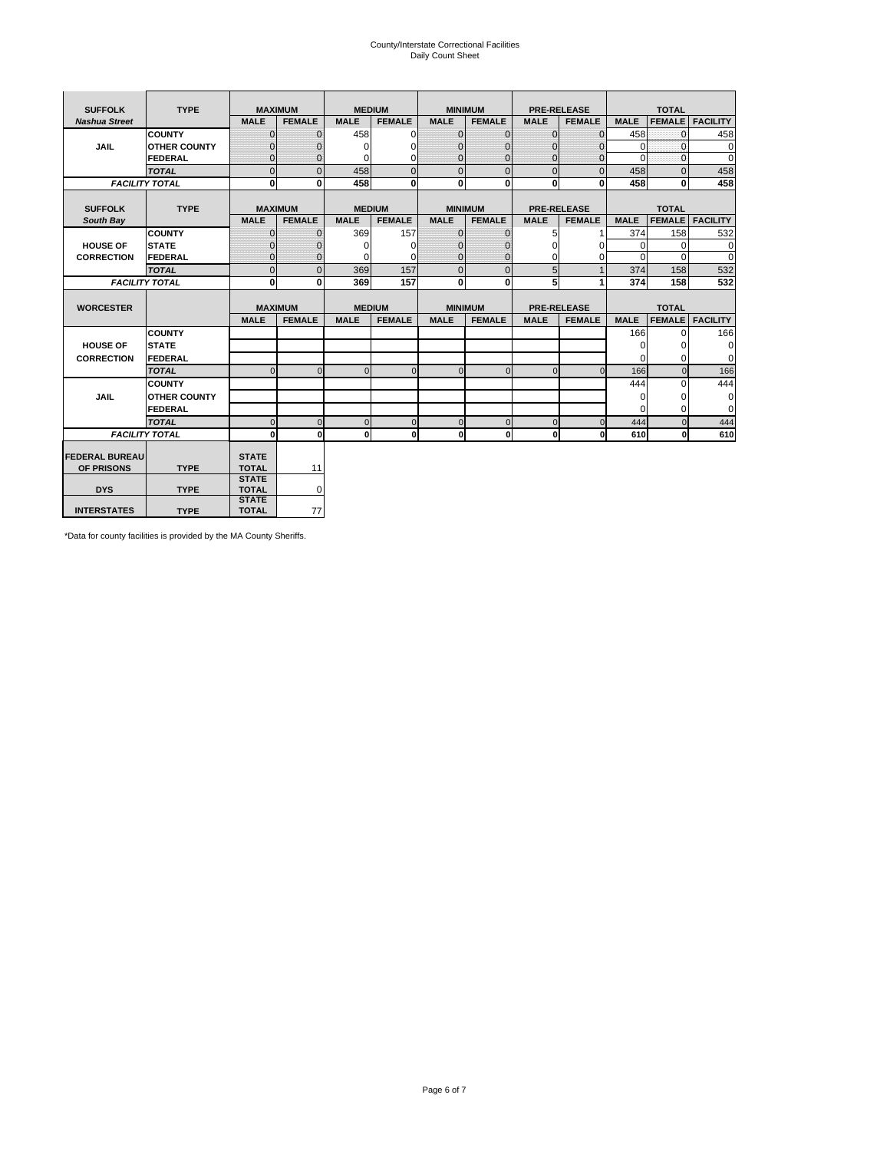# County/Interstate Correctional Facilities Daily Count Sheet

| <b>SUFFOLK</b><br><b>TYPE</b> |                       | <b>MAXIMUM</b>               |                | <b>MEDIUM</b> |               | <b>MINIMUM</b> |                | <b>PRE-RELEASE</b> |                    | <b>TOTAL</b> |               |                 |
|-------------------------------|-----------------------|------------------------------|----------------|---------------|---------------|----------------|----------------|--------------------|--------------------|--------------|---------------|-----------------|
| <b>Nashua Street</b>          |                       | <b>MALE</b>                  | <b>FEMALE</b>  | <b>MALE</b>   | <b>FEMALE</b> | <b>MALE</b>    | <b>FEMALE</b>  | <b>MALE</b>        | <b>FEMALE</b>      | <b>MALE</b>  | <b>FEMALE</b> | <b>FACILITY</b> |
|                               | <b>COUNTY</b>         | $\Omega$                     | $\mathbf{0}$   | 458           | $\Omega$      | $\mathbf{0}$   | $\Omega$       | $\mathbf{0}$       | $\Omega$           | 458          | $\Omega$      | 458             |
| JAIL                          | <b>OTHER COUNTY</b>   | $\Omega$                     | $\Omega$       | $\Omega$      | 0             | $\Omega$       | $\Omega$       | $\Omega$           | $\Omega$           | $\Omega$     | $\Omega$      | 0               |
|                               | <b>FEDERAL</b>        | $\mathbf{0}$                 | $\mathbf{0}$   | 0             | 0             | $\mathbf{0}$   | $\mathbf{0}$   | $\mathbf 0$        | $\mathbf{0}$       | $\Omega$     | 0             | 0               |
|                               | <b>TOTAL</b>          | $\Omega$                     | $\Omega$       | 458           | $\Omega$      | $\overline{0}$ | $\Omega$       | $\Omega$           | $\Omega$           | 458          | $\Omega$      | 458             |
|                               | <b>FACILITY TOTAL</b> | 0                            | $\mathbf{0}$   | 458           | 0             | $\mathbf{0}$   | $\bf{0}$       | $\mathbf{0}$       | 0                  | 458          | 0             | 458             |
|                               |                       |                              |                |               |               |                |                |                    |                    |              |               |                 |
| <b>SUFFOLK</b>                | <b>TYPE</b>           |                              | <b>MAXIMUM</b> | <b>MEDIUM</b> |               |                | <b>MINIMUM</b> |                    | <b>PRE-RELEASE</b> |              | <b>TOTAL</b>  |                 |
| South Bay                     |                       | <b>MALE</b>                  | <b>FEMALE</b>  | <b>MALE</b>   | <b>FEMALE</b> | <b>MALE</b>    | <b>FEMALE</b>  | <b>MALE</b>        | <b>FEMALE</b>      | <b>MALE</b>  | <b>FEMALE</b> | <b>FACILITY</b> |
|                               | <b>COUNTY</b>         | $\Omega$                     | $\mathbf{0}$   | 369           | 157           | $\mathbf{0}$   | $\mathbf{0}$   | 5                  |                    | 374          | 158           | 532             |
| <b>HOUSE OF</b>               | <b>STATE</b>          |                              | $\overline{0}$ | $\Omega$      | $\Omega$      | $\Omega$       | O              | $\Omega$           | $\Omega$           | $\Omega$     | $\Omega$      | 0               |
| <b>CORRECTION</b>             | <b>FEDERAL</b>        | $\Omega$                     | $\overline{0}$ | 0             | $\Omega$      | $\mathbf{0}$   | $\Omega$       | $\Omega$           | 0                  | $\Omega$     | $\Omega$      | $\Omega$        |
|                               | <b>TOTAL</b>          | $\Omega$                     | $\overline{0}$ | 369           | 157           | $\mathbf 0$    | $\mathbf{0}$   | 5                  | $\mathbf{1}$       | 374          | 158           | 532             |
|                               | <b>FACILITY TOTAL</b> | 0                            | 0              | 369           | 157           | $\mathbf{0}$   | 0              | 5                  | 1                  | 374          | 158           | 532             |
|                               |                       |                              |                |               |               |                |                |                    |                    |              |               |                 |
| <b>WORCESTER</b>              |                       |                              | <b>MAXIMUM</b> | <b>MEDIUM</b> |               |                | <b>MINIMUM</b> |                    | <b>PRE-RELEASE</b> |              | <b>TOTAL</b>  |                 |
|                               |                       | <b>MALE</b>                  | <b>FEMALE</b>  | <b>MALE</b>   | <b>FEMALE</b> | <b>MALE</b>    | <b>FEMALE</b>  | <b>MALE</b>        | <b>FEMALE</b>      | <b>MALE</b>  | <b>FEMALE</b> | <b>FACILITY</b> |
|                               | <b>COUNTY</b>         |                              |                |               |               |                |                |                    |                    | 166          | $\Omega$      | 166             |
| <b>HOUSE OF</b>               | <b>STATE</b>          |                              |                |               |               |                |                |                    |                    | 0            | 0             | 0               |
| <b>CORRECTION</b>             | FEDERAL               |                              |                |               |               |                |                |                    |                    | $\Omega$     | $\Omega$      | 0               |
|                               | <b>TOTAL</b>          | $\Omega$                     | $\mathbf{0}$   | $\Omega$      | $\mathbf 0$   | $\mathbf{0}$   | $\mathbf{0}$   | $\mathbf{0}$       | $\Omega$           | 166          | $\mathbf{0}$  | 166             |
|                               | <b>COUNTY</b>         |                              |                |               |               |                |                |                    |                    | 444          | $\Omega$      | 444             |
| <b>JAIL</b>                   | <b>OTHER COUNTY</b>   |                              |                |               |               |                |                |                    |                    | $\Omega$     | $\Omega$      | 0               |
|                               | FEDERAL               |                              |                |               |               |                |                |                    |                    | $\Omega$     | $\Omega$      | $\mathbf 0$     |
|                               | <b>TOTAL</b>          | $\cap$                       | $\Omega$       | $\Omega$      | $\mathbf{0}$  | $\mathbf{0}$   | $\Omega$       | $\Omega$           | $\Omega$           | 444          | $\Omega$      | 444             |
| <b>FACILITY TOTAL</b>         |                       | $\Omega$                     | 0              | $\Omega$      | 0             | $\mathbf{0}$   | $\bf{0}$       | $\mathbf 0$        | 0                  | 610          | O             | 610             |
|                               |                       |                              |                |               |               |                |                |                    |                    |              |               |                 |
| <b>FEDERAL BUREAU</b>         |                       | <b>STATE</b>                 |                |               |               |                |                |                    |                    |              |               |                 |
| OF PRISONS                    | <b>TYPE</b>           | <b>TOTAL</b><br><b>STATE</b> | 11             |               |               |                |                |                    |                    |              |               |                 |
| <b>DYS</b>                    | <b>TYPE</b>           | <b>TOTAL</b>                 | 0              |               |               |                |                |                    |                    |              |               |                 |
|                               |                       | <b>STATE</b>                 |                |               |               |                |                |                    |                    |              |               |                 |
| <b>INTERSTATES</b>            | <b>TYPE</b>           | <b>TOTAL</b>                 | 77             |               |               |                |                |                    |                    |              |               |                 |

\*Data for county facilities is provided by the MA County Sheriffs.